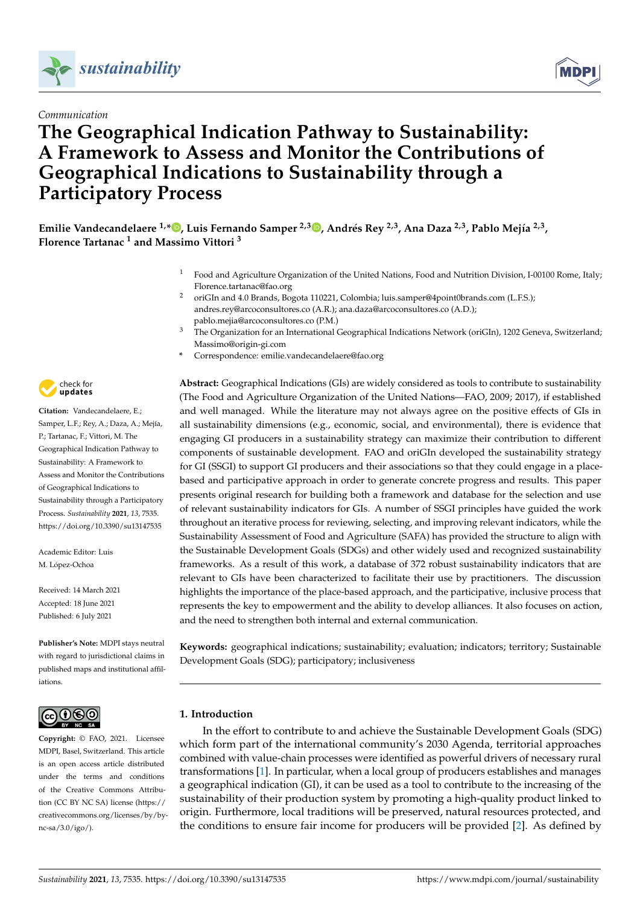



# **The Geographical Indication Pathway to Sustainability: A Framework to Assess and Monitor the Contributions of Geographical Indications to Sustainability through a Participatory Process**



Emilie Vandecandelaere <sup>1[,](https://orcid.org/0000-0002-7439-8758)\*</sup>®, Luis Fernando Samper <sup>2,3</sup>®, Andrés Rey <sup>2,3</sup>, Ana Daza <sup>2,3</sup>, Pablo Mejía <sup>2,3</sup>, **Florence Tartanac <sup>1</sup> and Massimo Vittori <sup>3</sup>**

- <sup>1</sup> Food and Agriculture Organization of the United Nations, Food and Nutrition Division, I-00100 Rome, Italy; Florence.tartanac@fao.org
- <sup>2</sup> oriGIn and 4.0 Brands, Bogota 110221, Colombia; luis.samper@4point0brands.com (L.F.S.); andres.rey@arcoconsultores.co (A.R.); ana.daza@arcoconsultores.co (A.D.); pablo.mejia@arcoconsultores.co (P.M.)
- <sup>3</sup> The Organization for an International Geographical Indications Network (oriGIn), 1202 Geneva, Switzerland; Massimo@origin-gi.com
- **\*** Correspondence: emilie.vandecandelaere@fao.org

**Abstract:** Geographical Indications (GIs) are widely considered as tools to contribute to sustainability (The Food and Agriculture Organization of the United Nations—FAO, 2009; 2017), if established and well managed. While the literature may not always agree on the positive effects of GIs in all sustainability dimensions (e.g., economic, social, and environmental), there is evidence that engaging GI producers in a sustainability strategy can maximize their contribution to different components of sustainable development. FAO and oriGIn developed the sustainability strategy for GI (SSGI) to support GI producers and their associations so that they could engage in a placebased and participative approach in order to generate concrete progress and results. This paper presents original research for building both a framework and database for the selection and use of relevant sustainability indicators for GIs. A number of SSGI principles have guided the work throughout an iterative process for reviewing, selecting, and improving relevant indicators, while the Sustainability Assessment of Food and Agriculture (SAFA) has provided the structure to align with the Sustainable Development Goals (SDGs) and other widely used and recognized sustainability frameworks. As a result of this work, a database of 372 robust sustainability indicators that are relevant to GIs have been characterized to facilitate their use by practitioners. The discussion highlights the importance of the place-based approach, and the participative, inclusive process that represents the key to empowerment and the ability to develop alliances. It also focuses on action, and the need to strengthen both internal and external communication.

**Keywords:** geographical indications; sustainability; evaluation; indicators; territory; Sustainable Development Goals (SDG); participatory; inclusiveness

# **1. Introduction**

In the effort to contribute to and achieve the Sustainable Development Goals (SDG) which form part of the international community's 2030 Agenda, territorial approaches combined with value-chain processes were identified as powerful drivers of necessary rural transformations [\[1\]](#page-15-0). In particular, when a local group of producers establishes and manages a geographical indication (GI), it can be used as a tool to contribute to the increasing of the sustainability of their production system by promoting a high-quality product linked to origin. Furthermore, local traditions will be preserved, natural resources protected, and the conditions to ensure fair income for producers will be provided [\[2\]](#page-15-1). As defined by



**Citation:** Vandecandelaere, E.; Samper, L.F.; Rey, A.; Daza, A.; Mejía, P.; Tartanac, F.; Vittori, M. The Geographical Indication Pathway to Sustainability: A Framework to Assess and Monitor the Contributions of Geographical Indications to Sustainability through a Participatory Process. *Sustainability* **2021**, *13*, 7535. <https://doi.org/10.3390/su13147535>

Academic Editor: Luis M. López-Ochoa

Received: 14 March 2021 Accepted: 18 June 2021 Published: 6 July 2021

**Publisher's Note:** MDPI stays neutral with regard to jurisdictional claims in published maps and institutional affiliations.



**Copyright:** © FAO, 2021. Licensee MDPI, Basel, Switzerland. This article is an open access article distributed under the terms and conditions of the Creative Commons Attribution (CC BY NC SA) license (https:/[/](hhttps://creativecommons.org/licenses/by-nc-sa/3.0/igo/) [creativecommons.org/licenses/by/by](hhttps://creativecommons.org/licenses/by-nc-sa/3.0/igo/)[nc-sa/3](hhttps://creativecommons.org/licenses/by-nc-sa/3.0/igo/).0/igo/).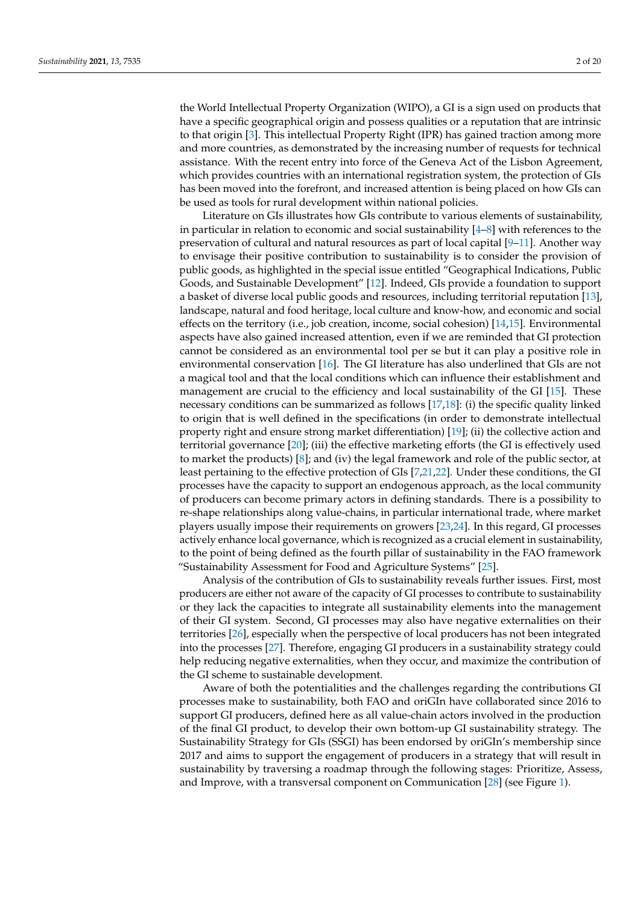the World Intellectual Property Organization (WIPO), a GI is a sign used on products that have a specific geographical origin and possess qualities or a reputation that are intrinsic to that origin [\[3\]](#page-15-2). This intellectual Property Right (IPR) has gained traction among more and more countries, as demonstrated by the increasing number of requests for technical assistance. With the recent entry into force of the Geneva Act of the Lisbon Agreement, which provides countries with an international registration system, the protection of GIs has been moved into the forefront, and increased attention is being placed on how GIs can be used as tools for rural development within national policies.

Literature on GIs illustrates how GIs contribute to various elements of sustainability, in particular in relation to economic and social sustainability  $[4-8]$  $[4-8]$  with references to the preservation of cultural and natural resources as part of local capital [\[9–](#page-16-1)[11\]](#page-16-2). Another way to envisage their positive contribution to sustainability is to consider the provision of public goods, as highlighted in the special issue entitled "Geographical Indications, Public Goods, and Sustainable Development" [\[12\]](#page-16-3). Indeed, GIs provide a foundation to support a basket of diverse local public goods and resources, including territorial reputation [\[13\]](#page-16-4), landscape, natural and food heritage, local culture and know-how, and economic and social effects on the territory (i.e., job creation, income, social cohesion) [\[14](#page-16-5)[,15\]](#page-16-6). Environmental aspects have also gained increased attention, even if we are reminded that GI protection cannot be considered as an environmental tool per se but it can play a positive role in environmental conservation [\[16\]](#page-16-7). The GI literature has also underlined that GIs are not a magical tool and that the local conditions which can influence their establishment and management are crucial to the efficiency and local sustainability of the GI [\[15\]](#page-16-6). These necessary conditions can be summarized as follows [\[17,](#page-16-8)[18\]](#page-16-9): (i) the specific quality linked to origin that is well defined in the specifications (in order to demonstrate intellectual property right and ensure strong market differentiation) [\[19\]](#page-16-10); (ii) the collective action and territorial governance [\[20\]](#page-16-11); (iii) the effective marketing efforts (the GI is effectively used to market the products) [\[8\]](#page-16-0); and (iv) the legal framework and role of the public sector, at least pertaining to the effective protection of GIs [\[7](#page-16-12)[,21](#page-16-13)[,22\]](#page-16-14). Under these conditions, the GI processes have the capacity to support an endogenous approach, as the local community of producers can become primary actors in defining standards. There is a possibility to re-shape relationships along value-chains, in particular international trade, where market players usually impose their requirements on growers [\[23](#page-16-15)[,24\]](#page-16-16). In this regard, GI processes actively enhance local governance, which is recognized as a crucial element in sustainability, to the point of being defined as the fourth pillar of sustainability in the FAO framework "Sustainability Assessment for Food and Agriculture Systems" [\[25\]](#page-16-17).

Analysis of the contribution of GIs to sustainability reveals further issues. First, most producers are either not aware of the capacity of GI processes to contribute to sustainability or they lack the capacities to integrate all sustainability elements into the management of their GI system. Second, GI processes may also have negative externalities on their territories [\[26\]](#page-16-18), especially when the perspective of local producers has not been integrated into the processes [\[27\]](#page-16-19). Therefore, engaging GI producers in a sustainability strategy could help reducing negative externalities, when they occur, and maximize the contribution of the GI scheme to sustainable development.

Aware of both the potentialities and the challenges regarding the contributions GI processes make to sustainability, both FAO and oriGIn have collaborated since 2016 to support GI producers, defined here as all value-chain actors involved in the production of the final GI product, to develop their own bottom-up GI sustainability strategy. The Sustainability Strategy for GIs (SSGI) has been endorsed by oriGIn's membership since 2017 and aims to support the engagement of producers in a strategy that will result in sustainability by traversing a roadmap through the following stages: Prioritize, Assess, and Improve, with a transversal component on Communication [\[28\]](#page-16-20) (see Figure [1\)](#page-2-0).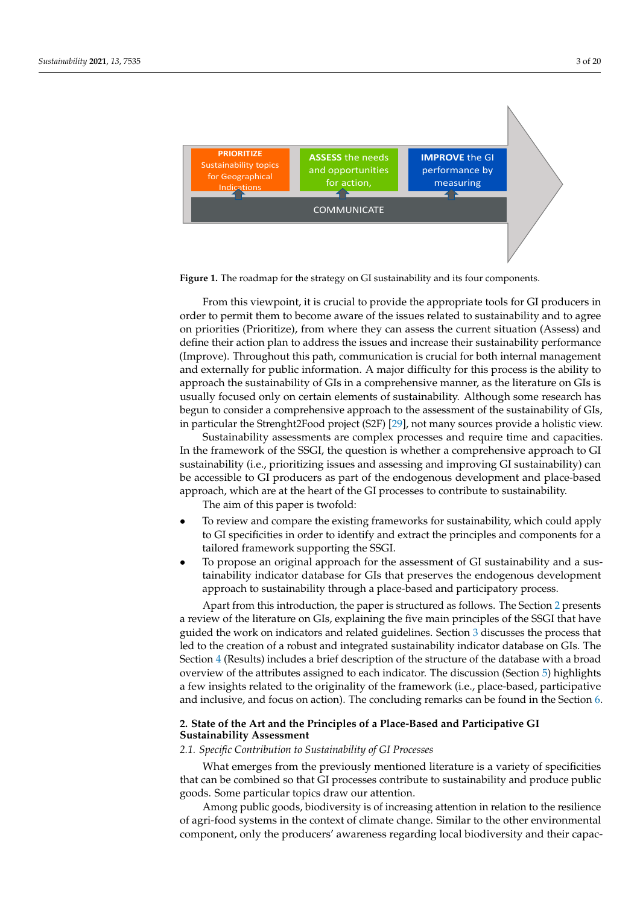<span id="page-2-0"></span>

**Figure 1.** The roadmap for the strategy on GI sustainability and its four components. **Figure 1.** The roadmap for the strategy on GI sustainability and its four components.

From this viewpoint, it is crucial to provide the appropriate tools for GI producers in From this viewpoint, it is crucial to provide the appropriate tools for GI producers in order to permit them to become aware of the issues related to sustainability and to agree order to permit them to become aware of the issues related to sustainability and to agree on priorities (Prioritize), from where they can assess the current situation (Assess) and define their action plan to address the issues and increase their sustainability performance define their action plan to address the issues and increase their sustainability performance (Improve). Throughout this path, communication is crucial for both internal management (Improve). Throughout this path, communication is crucial for both internal management and externally for public information. A major difficulty for this process is the ability to and externally for public information. A major difficulty for this process is the ability to approach the sustainability of GIs in a comprehensive manner, as the literature on GIs is approach the sustainability of GIs in a comprehensive manner, as the literature on GIs is usually focused only on certain elements of sustainability. Although some research has usually focused only on certain elements of sustainability. Although some research has begun to consider a comprehensive approach to the assessment of the sustainability of begun to consider a comprehensive approach to the assessment of the sustainability of GIs, GIs, in particular the Strenght2Food project (S2F) [29], not many sources provide a holistic in particular the Strenght2Food project (S2F) [\[29\]](#page-16-21), not many sources provide a holistic view.

Sustainability assessments are complex processes and require time and capacities. In the framework of the SSGI, the question is whether a comprehensive approach to GI sustainability (i.e., prioritizing issues and assessing and improving GI sustainability) can be accessible to GI producers as part of the endogenous development and place-based approach, which are at the heart of the GI processes to contribute to sustainability. The aim of this paper is twofold:

- To review and compare the existing frameworks for sustainability, which could apply to GI specificities in order to identify and extract the principles and components for a<br>the could applicate the could applicate the principles and components for a tailored framework supporting the SSGI.
- To propose an original approach for the assessment of GI sustainability and a susto propose an original approach for the assessment of GI stastantiasinty and a sus-<br>tainability indicator database for GIs that preserves the endogenous development For proposed and a sustainability and a subset of GI sustainability and a susapproach to sustainability through a place-based and participatory process.<br>
approach to sustainability through a place-based and participatory process.

Apart from this introduction, the paper is structured as follows. The Section 2 presents a follow of the headded on ELO, explaining the five main principles of the Section and the vork on indicators and related guidelines. Section [3](#page-5-0) discusses the process that explaining the literature of the creation of a robust and integrated sustainability indicator database on GIs. The Section [4](#page-7-0) (Results) includes a brief description of the structure of the database with a broad overview of the attributes assigned to each indicator. The discussion (Section [5\)](#page-11-0) highlights a few insights related to the originality of the framework (i.e., place-based, participative and inclusive, and focus on action). The concluding remarks can be found in the Section [6.](#page-14-0)  $h_{\text{eff}}$  insights related to the framework (i.e., place-based, para-based, para-based, para-based, para-based, para-based, para-based, para-based, para-based, para-based, para-based, para-based, para-based, para-based, p a review of the literature on GIs, explaining the five main principles of the SSGI that have

# <span id="page-2-1"></span>2. State of the Art and the Principles of a Place-Based and Participative GI **Sustainability Assessment**

#### *2.1. Specific Contribution to Sustainability of GI Processes*

What emerges from the previously mentioned literature is a variety of specificities that can be combined so that GI processes contribute to sustainability and produce public *2.1. Specific Contribution to Sustainability of GI Processes*  goods. Some particular topics draw our attention.

Among public goods, biodiversity is of increasing attention in relation to the resilience of agri-food systems in the context of climate change. Similar to the other environmental component, only the producers' awareness regarding local biodiversity and their capac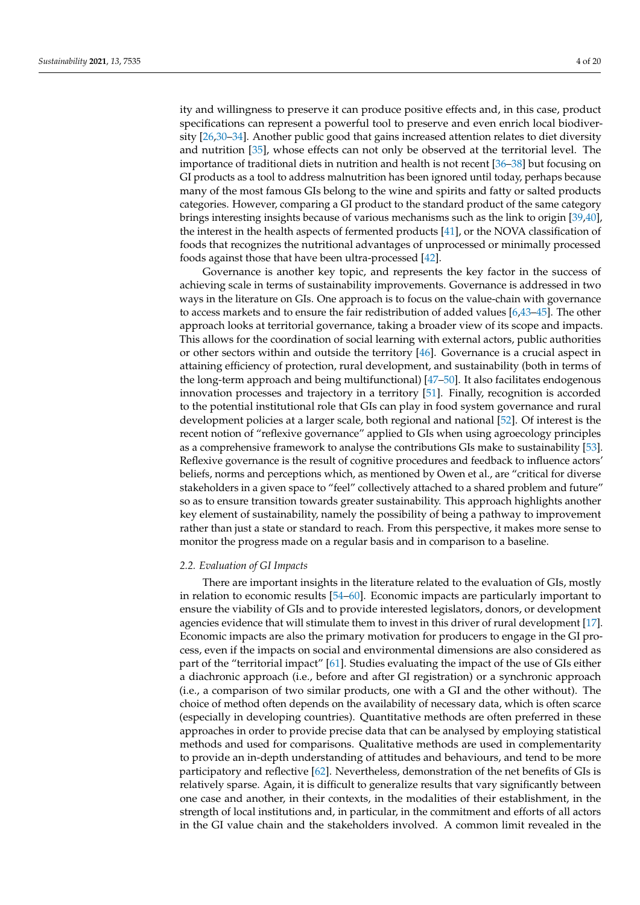ity and willingness to preserve it can produce positive effects and, in this case, product specifications can represent a powerful tool to preserve and even enrich local biodiversity [\[26](#page-16-18)[,30](#page-16-22)[–34\]](#page-17-0). Another public good that gains increased attention relates to diet diversity and nutrition [\[35\]](#page-17-1), whose effects can not only be observed at the territorial level. The importance of traditional diets in nutrition and health is not recent [\[36–](#page-17-2)[38\]](#page-17-3) but focusing on GI products as a tool to address malnutrition has been ignored until today, perhaps because many of the most famous GIs belong to the wine and spirits and fatty or salted products categories. However, comparing a GI product to the standard product of the same category brings interesting insights because of various mechanisms such as the link to origin [\[39](#page-17-4)[,40\]](#page-17-5), the interest in the health aspects of fermented products [\[41\]](#page-17-6), or the NOVA classification of foods that recognizes the nutritional advantages of unprocessed or minimally processed foods against those that have been ultra-processed [\[42\]](#page-17-7).

Governance is another key topic, and represents the key factor in the success of achieving scale in terms of sustainability improvements. Governance is addressed in two ways in the literature on GIs. One approach is to focus on the value-chain with governance to access markets and to ensure the fair redistribution of added values [\[6,](#page-16-23)[43](#page-17-8)[–45\]](#page-17-9). The other approach looks at territorial governance, taking a broader view of its scope and impacts. This allows for the coordination of social learning with external actors, public authorities or other sectors within and outside the territory [\[46\]](#page-17-10). Governance is a crucial aspect in attaining efficiency of protection, rural development, and sustainability (both in terms of the long-term approach and being multifunctional) [\[47–](#page-17-11)[50\]](#page-17-12). It also facilitates endogenous innovation processes and trajectory in a territory [\[51\]](#page-17-13). Finally, recognition is accorded to the potential institutional role that GIs can play in food system governance and rural development policies at a larger scale, both regional and national [\[52\]](#page-17-14). Of interest is the recent notion of "reflexive governance" applied to GIs when using agroecology principles as a comprehensive framework to analyse the contributions GIs make to sustainability [\[53\]](#page-17-15). Reflexive governance is the result of cognitive procedures and feedback to influence actors' beliefs, norms and perceptions which, as mentioned by Owen et al., are "critical for diverse stakeholders in a given space to "feel" collectively attached to a shared problem and future" so as to ensure transition towards greater sustainability. This approach highlights another key element of sustainability, namely the possibility of being a pathway to improvement rather than just a state or standard to reach. From this perspective, it makes more sense to monitor the progress made on a regular basis and in comparison to a baseline.

## *2.2. Evaluation of GI Impacts*

There are important insights in the literature related to the evaluation of GIs, mostly in relation to economic results [\[54–](#page-17-16)[60\]](#page-18-0). Economic impacts are particularly important to ensure the viability of GIs and to provide interested legislators, donors, or development agencies evidence that will stimulate them to invest in this driver of rural development [\[17\]](#page-16-8). Economic impacts are also the primary motivation for producers to engage in the GI process, even if the impacts on social and environmental dimensions are also considered as part of the "territorial impact" [\[61\]](#page-18-1). Studies evaluating the impact of the use of GIs either a diachronic approach (i.e., before and after GI registration) or a synchronic approach (i.e., a comparison of two similar products, one with a GI and the other without). The choice of method often depends on the availability of necessary data, which is often scarce (especially in developing countries). Quantitative methods are often preferred in these approaches in order to provide precise data that can be analysed by employing statistical methods and used for comparisons. Qualitative methods are used in complementarity to provide an in-depth understanding of attitudes and behaviours, and tend to be more participatory and reflective [\[62\]](#page-18-2). Nevertheless, demonstration of the net benefits of GIs is relatively sparse. Again, it is difficult to generalize results that vary significantly between one case and another, in their contexts, in the modalities of their establishment, in the strength of local institutions and, in particular, in the commitment and efforts of all actors in the GI value chain and the stakeholders involved. A common limit revealed in the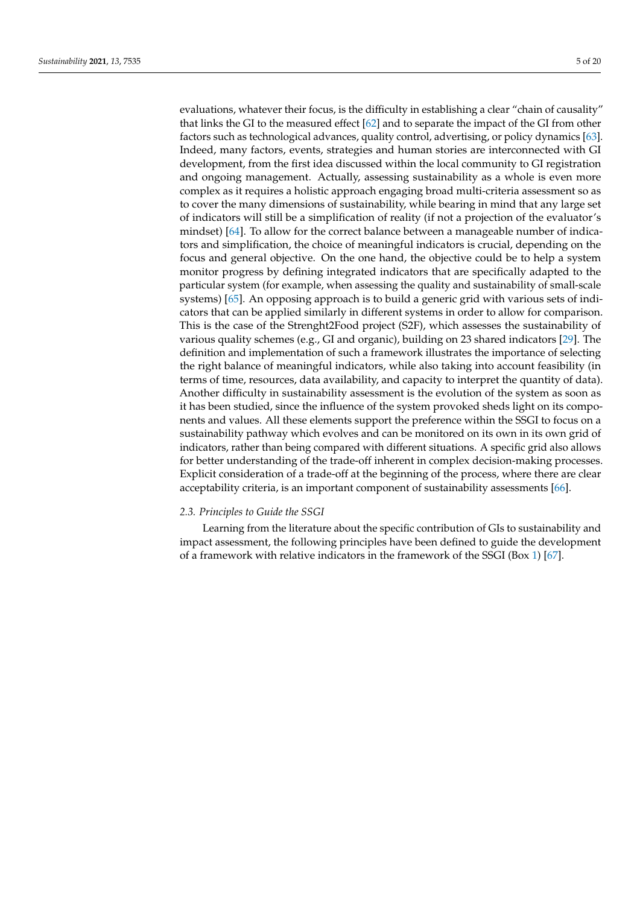evaluations, whatever their focus, is the difficulty in establishing a clear "chain of causality" that links the GI to the measured effect [\[62\]](#page-18-2) and to separate the impact of the GI from other factors such as technological advances, quality control, advertising, or policy dynamics [\[63\]](#page-18-3). Indeed, many factors, events, strategies and human stories are interconnected with GI development, from the first idea discussed within the local community to GI registration and ongoing management. Actually, assessing sustainability as a whole is even more complex as it requires a holistic approach engaging broad multi-criteria assessment so as to cover the many dimensions of sustainability, while bearing in mind that any large set of indicators will still be a simplification of reality (if not a projection of the evaluator's mindset) [\[64\]](#page-18-4). To allow for the correct balance between a manageable number of indicators and simplification, the choice of meaningful indicators is crucial, depending on the focus and general objective. On the one hand, the objective could be to help a system monitor progress by defining integrated indicators that are specifically adapted to the particular system (for example, when assessing the quality and sustainability of small-scale systems) [\[65\]](#page-18-5). An opposing approach is to build a generic grid with various sets of indicators that can be applied similarly in different systems in order to allow for comparison. This is the case of the Strenght2Food project (S2F), which assesses the sustainability of various quality schemes (e.g., GI and organic), building on 23 shared indicators [\[29\]](#page-16-21). The definition and implementation of such a framework illustrates the importance of selecting the right balance of meaningful indicators, while also taking into account feasibility (in terms of time, resources, data availability, and capacity to interpret the quantity of data). Another difficulty in sustainability assessment is the evolution of the system as soon as it has been studied, since the influence of the system provoked sheds light on its components and values. All these elements support the preference within the SSGI to focus on a sustainability pathway which evolves and can be monitored on its own in its own grid of indicators, rather than being compared with different situations. A specific grid also allows for better understanding of the trade-off inherent in complex decision-making processes. Explicit consideration of a trade-off at the beginning of the process, where there are clear acceptability criteria, is an important component of sustainability assessments [\[66\]](#page-18-6).

# *2.3. Principles to Guide the SSGI*

Learning from the literature about the specific contribution of GIs to sustainability and impact assessment, the following principles have been defined to guide the development of a framework with relative indicators in the framework of the SSGI (Box [1\)](#page-5-1) [\[67\]](#page-18-7).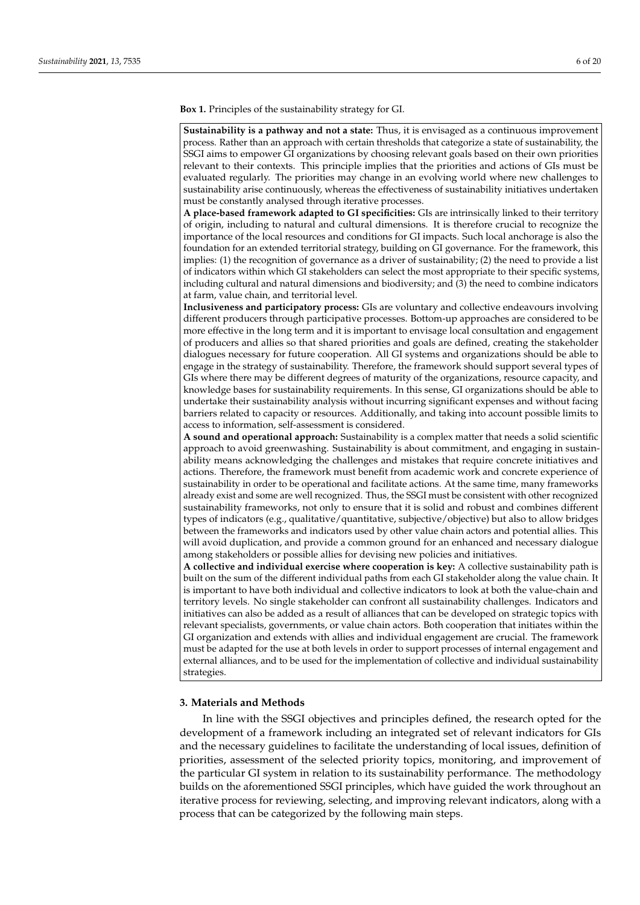**Box 1.** Principles of the sustainability strategy for GI.

**Sustainability is a pathway and not a state:** Thus, it is envisaged as a continuous improvement process. Rather than an approach with certain thresholds that categorize a state of sustainability, the SSGI aims to empower GI organizations by choosing relevant goals based on their own priorities relevant to their contexts. This principle implies that the priorities and actions of GIs must be evaluated regularly. The priorities may change in an evolving world where new challenges to sustainability arise continuously, whereas the effectiveness of sustainability initiatives undertaken must be constantly analysed through iterative processes.

**A place-based framework adapted to GI specificities:** GIs are intrinsically linked to their territory of origin, including to natural and cultural dimensions. It is therefore crucial to recognize the importance of the local resources and conditions for GI impacts. Such local anchorage is also the foundation for an extended territorial strategy, building on GI governance. For the framework, this implies: (1) the recognition of governance as a driver of sustainability; (2) the need to provide a list of indicators within which GI stakeholders can select the most appropriate to their specific systems, including cultural and natural dimensions and biodiversity; and (3) the need to combine indicators at farm, value chain, and territorial level.

**Inclusiveness and participatory process:** GIs are voluntary and collective endeavours involving different producers through participative processes. Bottom-up approaches are considered to be more effective in the long term and it is important to envisage local consultation and engagement of producers and allies so that shared priorities and goals are defined, creating the stakeholder dialogues necessary for future cooperation. All GI systems and organizations should be able to engage in the strategy of sustainability. Therefore, the framework should support several types of GIs where there may be different degrees of maturity of the organizations, resource capacity, and knowledge bases for sustainability requirements. In this sense, GI organizations should be able to undertake their sustainability analysis without incurring significant expenses and without facing barriers related to capacity or resources. Additionally, and taking into account possible limits to access to information, self-assessment is considered.

**A sound and operational approach:** Sustainability is a complex matter that needs a solid scientific approach to avoid greenwashing. Sustainability is about commitment, and engaging in sustainability means acknowledging the challenges and mistakes that require concrete initiatives and actions. Therefore, the framework must benefit from academic work and concrete experience of sustainability in order to be operational and facilitate actions. At the same time, many frameworks already exist and some are well recognized. Thus, the SSGI must be consistent with other recognized sustainability frameworks, not only to ensure that it is solid and robust and combines different types of indicators (e.g., qualitative/quantitative, subjective/objective) but also to allow bridges between the frameworks and indicators used by other value chain actors and potential allies. This will avoid duplication, and provide a common ground for an enhanced and necessary dialogue among stakeholders or possible allies for devising new policies and initiatives.

<span id="page-5-1"></span>**A collective and individual exercise where cooperation is key:** A collective sustainability path is built on the sum of the different individual paths from each GI stakeholder along the value chain. It is important to have both individual and collective indicators to look at both the value-chain and territory levels. No single stakeholder can confront all sustainability challenges. Indicators and initiatives can also be added as a result of alliances that can be developed on strategic topics with relevant specialists, governments, or value chain actors. Both cooperation that initiates within the GI organization and extends with allies and individual engagement are crucial. The framework must be adapted for the use at both levels in order to support processes of internal engagement and external alliances, and to be used for the implementation of collective and individual sustainability strategies.

## <span id="page-5-0"></span>**3. Materials and Methods**

In line with the SSGI objectives and principles defined, the research opted for the development of a framework including an integrated set of relevant indicators for GIs and the necessary guidelines to facilitate the understanding of local issues, definition of priorities, assessment of the selected priority topics, monitoring, and improvement of the particular GI system in relation to its sustainability performance. The methodology builds on the aforementioned SSGI principles, which have guided the work throughout an iterative process for reviewing, selecting, and improving relevant indicators, along with a process that can be categorized by the following main steps.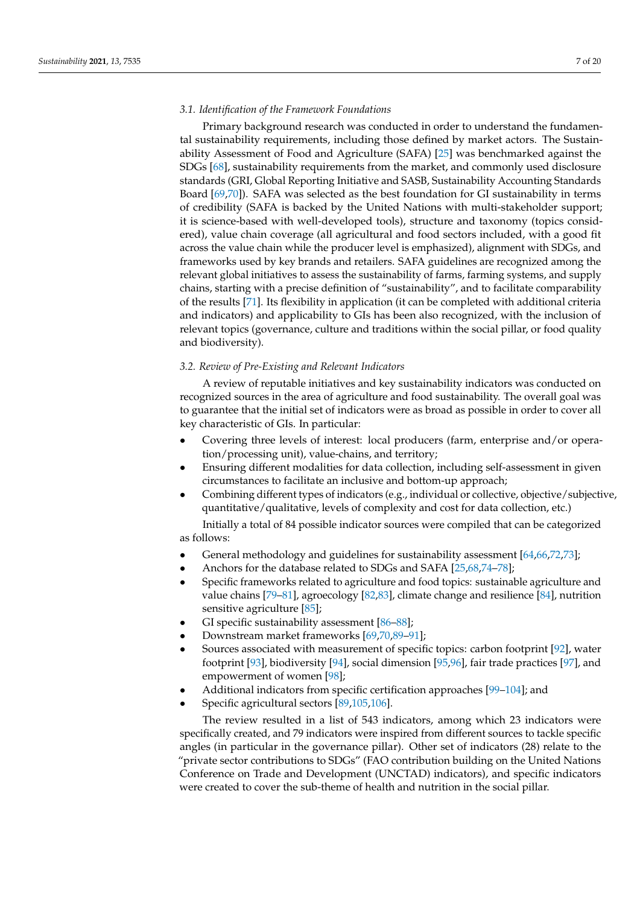# *3.1. Identification of the Framework Foundations*

Primary background research was conducted in order to understand the fundamental sustainability requirements, including those defined by market actors. The Sustainability Assessment of Food and Agriculture (SAFA) [\[25\]](#page-16-17) was benchmarked against the SDGs [\[68\]](#page-18-8), sustainability requirements from the market, and commonly used disclosure standards (GRI, Global Reporting Initiative and SASB, Sustainability Accounting Standards Board [\[69](#page-18-9)[,70\]](#page-18-10)). SAFA was selected as the best foundation for GI sustainability in terms of credibility (SAFA is backed by the United Nations with multi-stakeholder support; it is science-based with well-developed tools), structure and taxonomy (topics considered), value chain coverage (all agricultural and food sectors included, with a good fit across the value chain while the producer level is emphasized), alignment with SDGs, and frameworks used by key brands and retailers. SAFA guidelines are recognized among the relevant global initiatives to assess the sustainability of farms, farming systems, and supply chains, starting with a precise definition of "sustainability", and to facilitate comparability of the results [\[71\]](#page-18-11). Its flexibility in application (it can be completed with additional criteria and indicators) and applicability to GIs has been also recognized, with the inclusion of relevant topics (governance, culture and traditions within the social pillar, or food quality and biodiversity).

### *3.2. Review of Pre-Existing and Relevant Indicators*

A review of reputable initiatives and key sustainability indicators was conducted on recognized sources in the area of agriculture and food sustainability. The overall goal was to guarantee that the initial set of indicators were as broad as possible in order to cover all key characteristic of GIs. In particular:

- Covering three levels of interest: local producers (farm, enterprise and/or operation/processing unit), value-chains, and territory;
- Ensuring different modalities for data collection, including self-assessment in given circumstances to facilitate an inclusive and bottom-up approach;
- Combining different types of indicators (e.g., individual or collective, objective/subjective, quantitative/qualitative, levels of complexity and cost for data collection, etc.)

Initially a total of 84 possible indicator sources were compiled that can be categorized as follows:

- General methodology and guidelines for sustainability assessment [\[64](#page-18-4)[,66](#page-18-6)[,72,](#page-18-12)[73\]](#page-18-13);
- Anchors for the database related to SDGs and SAFA [\[25,](#page-16-17)[68](#page-18-8)[,74–](#page-18-14)[78\]](#page-18-15);
- Specific frameworks related to agriculture and food topics: sustainable agriculture and value chains [\[79–](#page-18-16)[81\]](#page-18-17), agroecology [\[82](#page-18-18)[,83\]](#page-18-19), climate change and resilience [\[84\]](#page-18-20), nutrition sensitive agriculture [\[85\]](#page-18-21);
- GI specific sustainability assessment [\[86–](#page-19-0)[88\]](#page-19-1);
- Downstream market frameworks [\[69,](#page-18-9)[70,](#page-18-10)[89](#page-19-2)[–91\]](#page-19-3);
- Sources associated with measurement of specific topics: carbon footprint [\[92\]](#page-19-4), water footprint [\[93\]](#page-19-5), biodiversity [\[94\]](#page-19-6), social dimension [\[95,](#page-19-7)[96\]](#page-19-8), fair trade practices [\[97\]](#page-19-9), and empowerment of women [\[98\]](#page-19-10);
- Additional indicators from specific certification approaches [\[99](#page-19-11)[–104\]](#page-19-12); and
- Specific agricultural sectors [\[89](#page-19-2)[,105](#page-19-13)[,106\]](#page-19-14).

The review resulted in a list of 543 indicators, among which 23 indicators were specifically created, and 79 indicators were inspired from different sources to tackle specific angles (in particular in the governance pillar). Other set of indicators (28) relate to the "private sector contributions to SDGs" (FAO contribution building on the United Nations Conference on Trade and Development (UNCTAD) indicators), and specific indicators were created to cover the sub-theme of health and nutrition in the social pillar.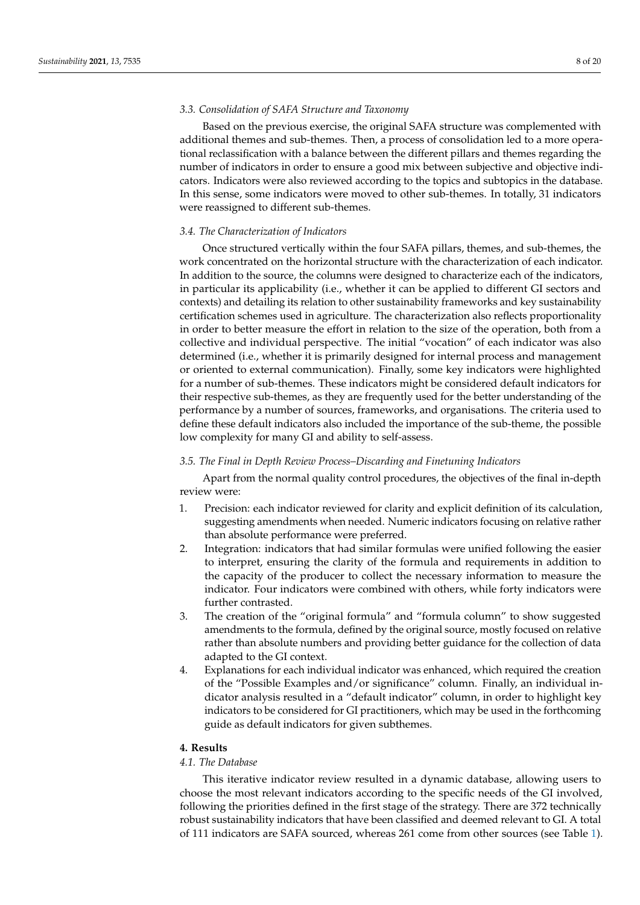# *3.3. Consolidation of SAFA Structure and Taxonomy*

Based on the previous exercise, the original SAFA structure was complemented with additional themes and sub-themes. Then, a process of consolidation led to a more operational reclassification with a balance between the different pillars and themes regarding the number of indicators in order to ensure a good mix between subjective and objective indicators. Indicators were also reviewed according to the topics and subtopics in the database. In this sense, some indicators were moved to other sub-themes. In totally, 31 indicators were reassigned to different sub-themes.

## *3.4. The Characterization of Indicators*

Once structured vertically within the four SAFA pillars, themes, and sub-themes, the work concentrated on the horizontal structure with the characterization of each indicator. In addition to the source, the columns were designed to characterize each of the indicators, in particular its applicability (i.e., whether it can be applied to different GI sectors and contexts) and detailing its relation to other sustainability frameworks and key sustainability certification schemes used in agriculture. The characterization also reflects proportionality in order to better measure the effort in relation to the size of the operation, both from a collective and individual perspective. The initial "vocation" of each indicator was also determined (i.e., whether it is primarily designed for internal process and management or oriented to external communication). Finally, some key indicators were highlighted for a number of sub-themes. These indicators might be considered default indicators for their respective sub-themes, as they are frequently used for the better understanding of the performance by a number of sources, frameworks, and organisations. The criteria used to define these default indicators also included the importance of the sub-theme, the possible low complexity for many GI and ability to self-assess.

## *3.5. The Final in Depth Review Process–Discarding and Finetuning Indicators*

Apart from the normal quality control procedures, the objectives of the final in-depth review were:

- 1. Precision: each indicator reviewed for clarity and explicit definition of its calculation, suggesting amendments when needed. Numeric indicators focusing on relative rather than absolute performance were preferred.
- 2. Integration: indicators that had similar formulas were unified following the easier to interpret, ensuring the clarity of the formula and requirements in addition to the capacity of the producer to collect the necessary information to measure the indicator. Four indicators were combined with others, while forty indicators were further contrasted.
- 3. The creation of the "original formula" and "formula column" to show suggested amendments to the formula, defined by the original source, mostly focused on relative rather than absolute numbers and providing better guidance for the collection of data adapted to the GI context.
- 4. Explanations for each individual indicator was enhanced, which required the creation of the "Possible Examples and/or significance" column. Finally, an individual indicator analysis resulted in a "default indicator" column, in order to highlight key indicators to be considered for GI practitioners, which may be used in the forthcoming guide as default indicators for given subthemes.

# <span id="page-7-0"></span>**4. Results**

## *4.1. The Database*

This iterative indicator review resulted in a dynamic database, allowing users to choose the most relevant indicators according to the specific needs of the GI involved, following the priorities defined in the first stage of the strategy. There are 372 technically robust sustainability indicators that have been classified and deemed relevant to GI. A total of 111 indicators are SAFA sourced, whereas 261 come from other sources (see Table [1\)](#page-8-0).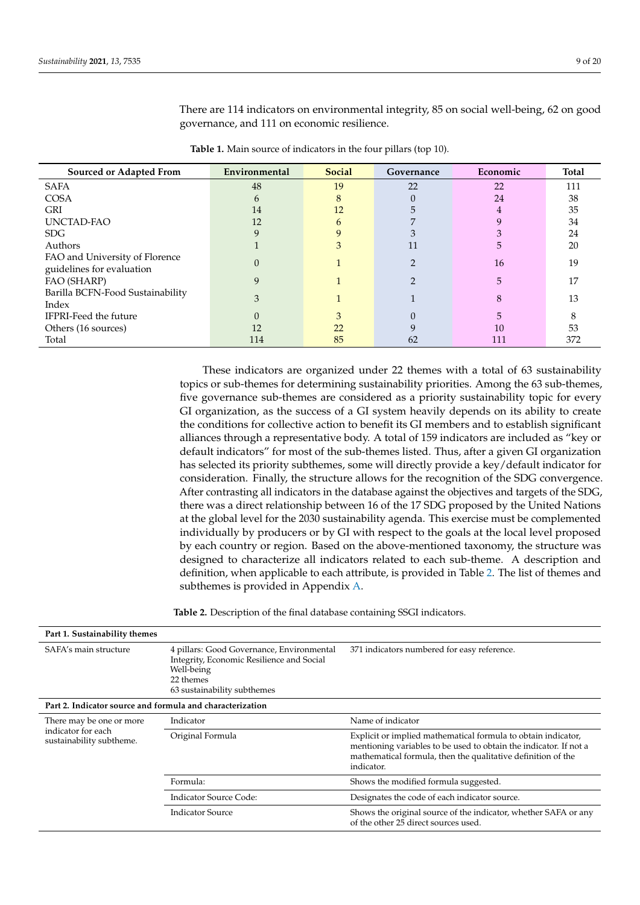<span id="page-8-0"></span>

| Sourced or Adapted From                                     | Environmental | <b>Social</b> | Governance | Economic | <b>Total</b> |
|-------------------------------------------------------------|---------------|---------------|------------|----------|--------------|
| <b>SAFA</b>                                                 | 48            | 19            | 22         | 22       | 111          |
| <b>COSA</b>                                                 | h             | 8             |            | 24       | 38           |
| <b>GRI</b>                                                  | 14            | 12            |            |          | 35           |
| UNCTAD-FAO                                                  | 12            | 6             |            |          | 34           |
| SDG                                                         |               |               |            |          | 24           |
| Authors                                                     |               | 3             | 11         | .5       | 20           |
| FAO and University of Florence<br>guidelines for evaluation |               |               |            | 16       | 19           |
| FAO (SHARP)                                                 | 9             |               |            | 5        | 17           |
| Barilla BCFN-Food Sustainability<br>Index                   | 3             |               |            | 8        | 13           |
| <b>IFPRI-Feed the future</b>                                |               |               |            |          | σ,           |
| Others (16 sources)                                         | 12            | 22            |            | 10       | 53           |
| Total                                                       | 114           | 85            | 62         | 111      | 372          |

There are 114 indicators on environmental integrity, 85 on social well-being, 62 on good governance, and 111 on economic resilience.

| Table 1. Main source of indicators in the four pillars (top 10). |  |  |
|------------------------------------------------------------------|--|--|
|------------------------------------------------------------------|--|--|

These indicators are organized under 22 themes with a total of 63 sustainability topics or sub-themes for determining sustainability priorities. Among the 63 sub-themes, five governance sub-themes are considered as a priority sustainability topic for every GI organization, as the success of a GI system heavily depends on its ability to create the conditions for collective action to benefit its GI members and to establish significant alliances through a representative body. A total of 159 indicators are included as "key or default indicators" for most of the sub-themes listed. Thus, after a given GI organization has selected its priority subthemes, some will directly provide a key/default indicator for consideration. Finally, the structure allows for the recognition of the SDG convergence. After contrasting all indicators in the database against the objectives and targets of the SDG, there was a direct relationship between 16 of the 17 SDG proposed by the United Nations at the global level for the 2030 sustainability agenda. This exercise must be complemented individually by producers or by GI with respect to the goals at the local level proposed by each country or region. Based on the above-mentioned taxonomy, the structure was designed to characterize all indicators related to each sub-theme. A description and definition, when applicable to each attribute, is provided in Table [2.](#page-8-1) The list of themes and subthemes is provided in Appendix [A.](#page-15-4)

**Table 2.** Description of the final database containing SSGI indicators.

<span id="page-8-1"></span>

| Part 1. Sustainability themes                             |                                                                                                                                                  |                                                                                                                                                                                                                  |  |  |  |  |  |  |
|-----------------------------------------------------------|--------------------------------------------------------------------------------------------------------------------------------------------------|------------------------------------------------------------------------------------------------------------------------------------------------------------------------------------------------------------------|--|--|--|--|--|--|
| SAFA's main structure                                     | 4 pillars: Good Governance, Environmental<br>Integrity, Economic Resilience and Social<br>Well-being<br>22 themes<br>63 sustainability subthemes | 371 indicators numbered for easy reference.                                                                                                                                                                      |  |  |  |  |  |  |
| Part 2. Indicator source and formula and characterization |                                                                                                                                                  |                                                                                                                                                                                                                  |  |  |  |  |  |  |
| There may be one or more                                  | Indicator                                                                                                                                        | Name of indicator                                                                                                                                                                                                |  |  |  |  |  |  |
| indicator for each<br>sustainability subtheme.            | Original Formula                                                                                                                                 | Explicit or implied mathematical formula to obtain indicator,<br>mentioning variables to be used to obtain the indicator. If not a<br>mathematical formula, then the qualitative definition of the<br>indicator. |  |  |  |  |  |  |
|                                                           | Formula:                                                                                                                                         | Shows the modified formula suggested.                                                                                                                                                                            |  |  |  |  |  |  |
|                                                           | Indicator Source Code:                                                                                                                           | Designates the code of each indicator source.                                                                                                                                                                    |  |  |  |  |  |  |
|                                                           | <b>Indicator Source</b>                                                                                                                          | Shows the original source of the indicator, whether SAFA or any<br>of the other 25 direct sources used.                                                                                                          |  |  |  |  |  |  |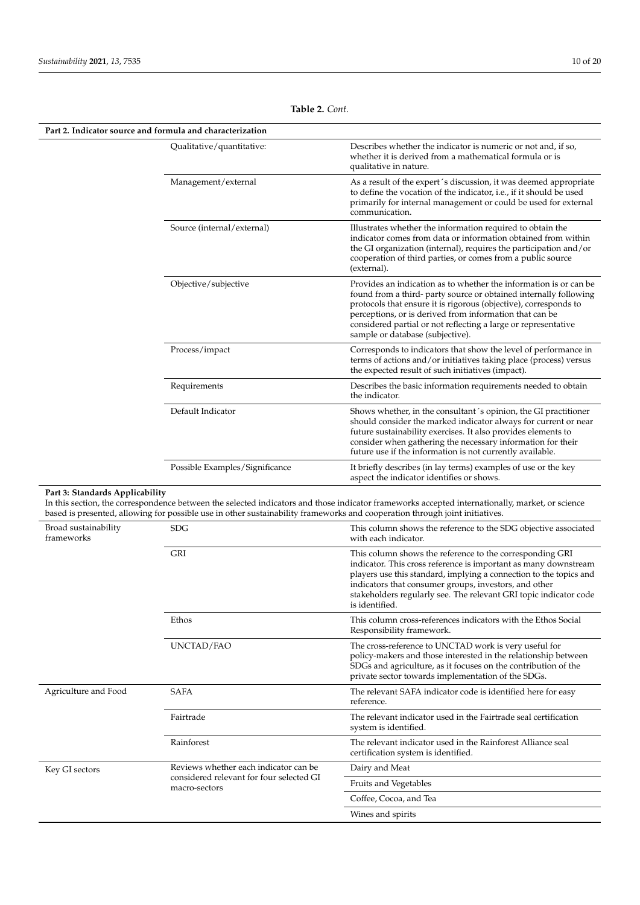| Part 2. Indicator source and formula and characterization |                                                                                                                             |                                                                                                                                                                                                                                                                                                                                                                              |  |  |  |  |
|-----------------------------------------------------------|-----------------------------------------------------------------------------------------------------------------------------|------------------------------------------------------------------------------------------------------------------------------------------------------------------------------------------------------------------------------------------------------------------------------------------------------------------------------------------------------------------------------|--|--|--|--|
|                                                           | Qualitative/quantitative:                                                                                                   | Describes whether the indicator is numeric or not and, if so,<br>whether it is derived from a mathematical formula or is<br>qualitative in nature.                                                                                                                                                                                                                           |  |  |  |  |
|                                                           | Management/external                                                                                                         | As a result of the expert's discussion, it was deemed appropriate<br>to define the vocation of the indicator, i.e., if it should be used<br>primarily for internal management or could be used for external<br>communication.                                                                                                                                                |  |  |  |  |
|                                                           | Source (internal/external)                                                                                                  | Illustrates whether the information required to obtain the<br>indicator comes from data or information obtained from within<br>the GI organization (internal), requires the participation and/or<br>cooperation of third parties, or comes from a public source<br>(external).                                                                                               |  |  |  |  |
|                                                           | Objective/subjective                                                                                                        | Provides an indication as to whether the information is or can be.<br>found from a third- party source or obtained internally following<br>protocols that ensure it is rigorous (objective), corresponds to<br>perceptions, or is derived from information that can be<br>considered partial or not reflecting a large or representative<br>sample or database (subjective). |  |  |  |  |
|                                                           | Process/impact                                                                                                              | Corresponds to indicators that show the level of performance in<br>terms of actions and/or initiatives taking place (process) versus<br>the expected result of such initiatives (impact).                                                                                                                                                                                    |  |  |  |  |
|                                                           | Requirements                                                                                                                | Describes the basic information requirements needed to obtain<br>the indicator.                                                                                                                                                                                                                                                                                              |  |  |  |  |
|                                                           | Default Indicator                                                                                                           | Shows whether, in the consultant's opinion, the GI practitioner<br>should consider the marked indicator always for current or near<br>future sustainability exercises. It also provides elements to<br>consider when gathering the necessary information for their<br>future use if the information is not currently available.                                              |  |  |  |  |
|                                                           | Possible Examples/Significance                                                                                              | It briefly describes (in lay terms) examples of use or the key<br>aspect the indicator identifies or shows.                                                                                                                                                                                                                                                                  |  |  |  |  |
| Part 3: Standards Applicability                           | based is presented, allowing for possible use in other sustainability frameworks and cooperation through joint initiatives. | In this section, the correspondence between the selected indicators and those indicator frameworks accepted internationally, market, or science                                                                                                                                                                                                                              |  |  |  |  |
| Broad sustainability<br>frameworks                        | <b>SDG</b>                                                                                                                  | This column shows the reference to the SDG objective associated<br>with each indicator.                                                                                                                                                                                                                                                                                      |  |  |  |  |
|                                                           | GRI                                                                                                                         | This column shows the reference to the corresponding GRI<br>indicator. This cross reference is important as many downstream<br>players use this standard, implying a connection to the topics and<br>indicators that consumer groups, investors, and other<br>stakeholders regularly see. The relevant GRI topic indicator code<br>is identified.                            |  |  |  |  |
|                                                           | Ethos                                                                                                                       | This column cross-references indicators with the Ethos Social<br>Responsibility framework.                                                                                                                                                                                                                                                                                   |  |  |  |  |
|                                                           | UNCTAD/FAO                                                                                                                  | The cross-reference to UNCTAD work is very useful for<br>policy-makers and those interested in the relationship between<br>SDGs and agriculture, as it focuses on the contribution of the<br>private sector towards implementation of the SDGs.                                                                                                                              |  |  |  |  |
| Agriculture and Food                                      | <b>SAFA</b>                                                                                                                 | The relevant SAFA indicator code is identified here for easy<br>reference.                                                                                                                                                                                                                                                                                                   |  |  |  |  |
|                                                           | Fairtrade                                                                                                                   | The relevant indicator used in the Fairtrade seal certification<br>system is identified.                                                                                                                                                                                                                                                                                     |  |  |  |  |
|                                                           | Rainforest                                                                                                                  | The relevant indicator used in the Rainforest Alliance seal<br>certification system is identified.                                                                                                                                                                                                                                                                           |  |  |  |  |
| Key GI sectors                                            | Reviews whether each indicator can be                                                                                       | Dairy and Meat                                                                                                                                                                                                                                                                                                                                                               |  |  |  |  |
|                                                           | considered relevant for four selected GI<br>macro-sectors                                                                   | Fruits and Vegetables                                                                                                                                                                                                                                                                                                                                                        |  |  |  |  |
|                                                           |                                                                                                                             | Coffee, Cocoa, and Tea                                                                                                                                                                                                                                                                                                                                                       |  |  |  |  |
|                                                           |                                                                                                                             | Wines and spirits                                                                                                                                                                                                                                                                                                                                                            |  |  |  |  |

**Table 2.** *Cont.*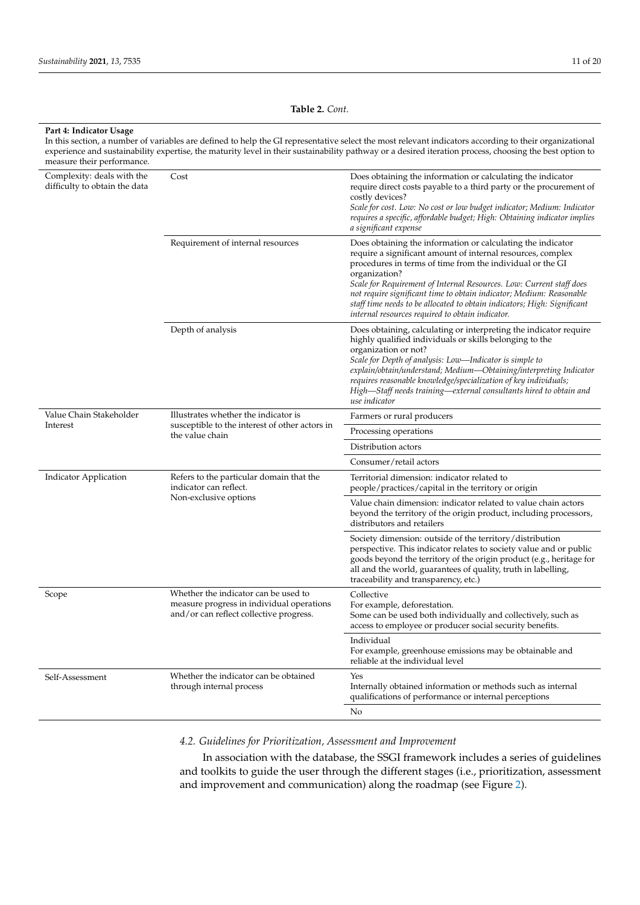**Table 2.** *Cont.*

| Part 4: Indicator Usage<br>measure their performance.       |                                                                                                                              | In this section, a number of variables are defined to help the GI representative select the most relevant indicators according to their organizational<br>experience and sustainability expertise, the maturity level in their sustainability pathway or a desired iteration process, choosing the best option to                                                                                                                                                                        |  |  |  |  |
|-------------------------------------------------------------|------------------------------------------------------------------------------------------------------------------------------|------------------------------------------------------------------------------------------------------------------------------------------------------------------------------------------------------------------------------------------------------------------------------------------------------------------------------------------------------------------------------------------------------------------------------------------------------------------------------------------|--|--|--|--|
| Complexity: deals with the<br>difficulty to obtain the data | Cost                                                                                                                         | Does obtaining the information or calculating the indicator<br>require direct costs payable to a third party or the procurement of<br>costly devices?<br>Scale for cost. Low: No cost or low budget indicator; Medium: Indicator<br>requires a specific, affordable budget; High: Obtaining indicator implies<br>a significant expense                                                                                                                                                   |  |  |  |  |
|                                                             | Requirement of internal resources                                                                                            | Does obtaining the information or calculating the indicator<br>require a significant amount of internal resources, complex<br>procedures in terms of time from the individual or the GI<br>organization?<br>Scale for Requirement of Internal Resources. Low: Current staff does<br>not require significant time to obtain indicator; Medium: Reasonable<br>staff time needs to be allocated to obtain indicators; High: Significant<br>internal resources required to obtain indicator. |  |  |  |  |
|                                                             | Depth of analysis                                                                                                            | Does obtaining, calculating or interpreting the indicator require<br>highly qualified individuals or skills belonging to the<br>organization or not?<br>Scale for Depth of analysis: Low—Indicator is simple to<br>explain/obtain/understand; Medium—Obtaining/interpreting Indicator<br>requires reasonable knowledge/specialization of key individuals;<br>High-Staff needs training-external consultants hired to obtain and<br>use indicator                                         |  |  |  |  |
| Value Chain Stakeholder                                     | Illustrates whether the indicator is                                                                                         | Farmers or rural producers                                                                                                                                                                                                                                                                                                                                                                                                                                                               |  |  |  |  |
| Interest                                                    | susceptible to the interest of other actors in<br>the value chain                                                            | Processing operations                                                                                                                                                                                                                                                                                                                                                                                                                                                                    |  |  |  |  |
|                                                             |                                                                                                                              | Distribution actors                                                                                                                                                                                                                                                                                                                                                                                                                                                                      |  |  |  |  |
|                                                             |                                                                                                                              | Consumer/retail actors                                                                                                                                                                                                                                                                                                                                                                                                                                                                   |  |  |  |  |
| <b>Indicator Application</b>                                | Refers to the particular domain that the<br>indicator can reflect.                                                           | Territorial dimension: indicator related to<br>people/practices/capital in the territory or origin                                                                                                                                                                                                                                                                                                                                                                                       |  |  |  |  |
|                                                             | Non-exclusive options                                                                                                        | Value chain dimension: indicator related to value chain actors<br>beyond the territory of the origin product, including processors,<br>distributors and retailers                                                                                                                                                                                                                                                                                                                        |  |  |  |  |
|                                                             |                                                                                                                              | Society dimension: outside of the territory/distribution<br>perspective. This indicator relates to society value and or public<br>goods beyond the territory of the origin product (e.g., heritage for<br>all and the world, guarantees of quality, truth in labelling,<br>traceability and transparency, etc.)                                                                                                                                                                          |  |  |  |  |
| Scope                                                       | Whether the indicator can be used to<br>measure progress in individual operations<br>and/or can reflect collective progress. | Collective<br>For example, deforestation.<br>Some can be used both individually and collectively, such as<br>access to employee or producer social security benefits.                                                                                                                                                                                                                                                                                                                    |  |  |  |  |
|                                                             |                                                                                                                              | Individual<br>For example, greenhouse emissions may be obtainable and<br>reliable at the individual level                                                                                                                                                                                                                                                                                                                                                                                |  |  |  |  |
| Self-Assessment                                             | Whether the indicator can be obtained<br>through internal process                                                            | Yes<br>Internally obtained information or methods such as internal<br>qualifications of performance or internal perceptions                                                                                                                                                                                                                                                                                                                                                              |  |  |  |  |
|                                                             |                                                                                                                              | No                                                                                                                                                                                                                                                                                                                                                                                                                                                                                       |  |  |  |  |

# *4.2. Guidelines for Prioritization, Assessment and Improvement*

In association with the database, the SSGI framework includes a series of guidelines and toolkits to guide the user through the different stages (i.e., prioritization, assessment and improvement and communication) along the roadmap (see Figure [2\)](#page-11-1).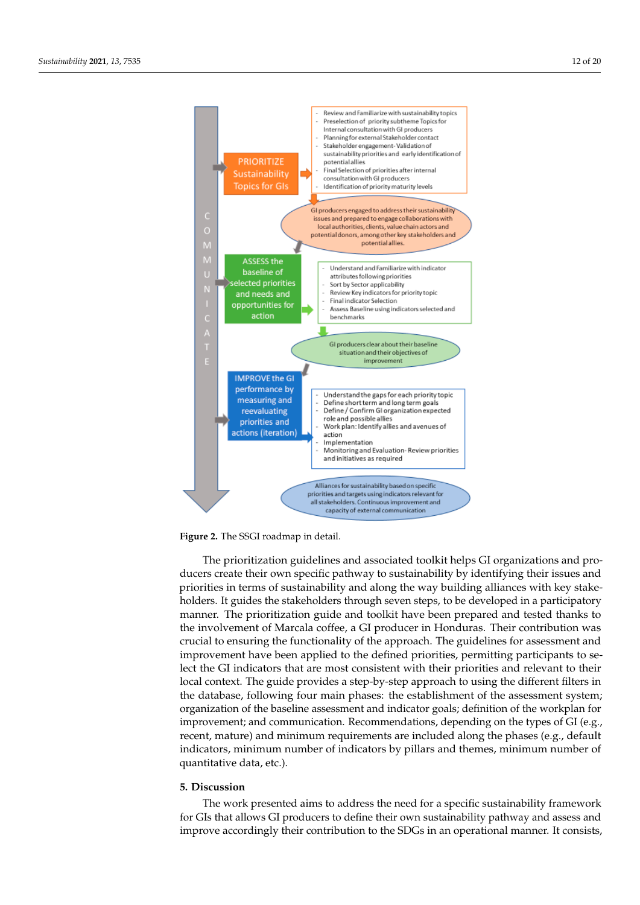<span id="page-11-1"></span>

 $\frac{1}{1}$ **Figure 2.** The SSGI roadmap in detail.

ducers create their own specific pathway to sustainability by identifying their issues and priorities in terms of sustainability and along the way building alliances with key stakeholders. It guides the stakeholders through seven steps, to be developed in a participatory manner. The prioritization guide and toolkit have been prepared and tested thanks to the involvement of Marcala coffee, a GI producer in Honduras. Their contribution was crucial to ensuring the functionality of the approach. The guidelines for assessment and improvement have been applied to the defined priorities, permitting participants to select the GI indicators that are most consistent with their priorities and relevant to their local context. The guide provides a step-by-step approach to using the different filters in the database, following four main phases: the establishment of the assessment system; organization of the baseline assessment and indicator goals; definition of the workplan for improvement; and communication. Recommendations, depending on the types of GI (e.g., recent, mature) and minimum requirements are included along the phases (e.g., default indicators, minimum number of indicators by pillars and themes, minimum number of quantitative data, etc.).  $\overline{a}$ The prioritization guidelines and associated toolkit helps GI organizations and pro-

#### <span id="page-11-0"></span>data, etc.). **5. Discussion**

The work presented aims to address the need for a specific sustainability framework for GIs that allows GI producers to define their own sustainability pathway and assess and improve accordingly their contribution to the SDGs in an operational manner. It consists,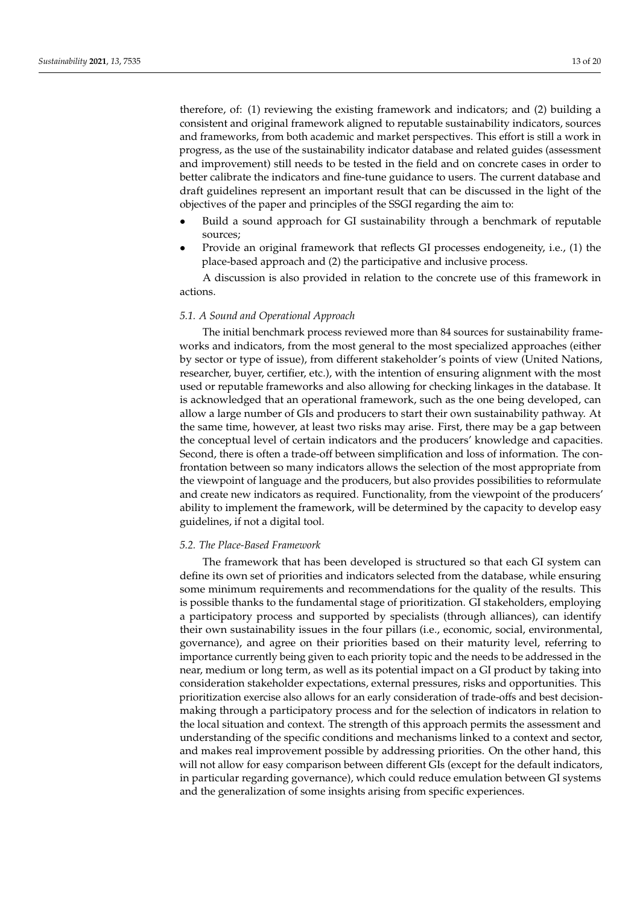therefore, of: (1) reviewing the existing framework and indicators; and (2) building a consistent and original framework aligned to reputable sustainability indicators, sources and frameworks, from both academic and market perspectives. This effort is still a work in progress, as the use of the sustainability indicator database and related guides (assessment and improvement) still needs to be tested in the field and on concrete cases in order to better calibrate the indicators and fine-tune guidance to users. The current database and draft guidelines represent an important result that can be discussed in the light of the objectives of the paper and principles of the SSGI regarding the aim to:

- Build a sound approach for GI sustainability through a benchmark of reputable sources;
- Provide an original framework that reflects GI processes endogeneity, i.e., (1) the place-based approach and (2) the participative and inclusive process.

A discussion is also provided in relation to the concrete use of this framework in actions.

### *5.1. A Sound and Operational Approach*

The initial benchmark process reviewed more than 84 sources for sustainability frameworks and indicators, from the most general to the most specialized approaches (either by sector or type of issue), from different stakeholder's points of view (United Nations, researcher, buyer, certifier, etc.), with the intention of ensuring alignment with the most used or reputable frameworks and also allowing for checking linkages in the database. It is acknowledged that an operational framework, such as the one being developed, can allow a large number of GIs and producers to start their own sustainability pathway. At the same time, however, at least two risks may arise. First, there may be a gap between the conceptual level of certain indicators and the producers' knowledge and capacities. Second, there is often a trade-off between simplification and loss of information. The confrontation between so many indicators allows the selection of the most appropriate from the viewpoint of language and the producers, but also provides possibilities to reformulate and create new indicators as required. Functionality, from the viewpoint of the producers' ability to implement the framework, will be determined by the capacity to develop easy guidelines, if not a digital tool.

## *5.2. The Place-Based Framework*

The framework that has been developed is structured so that each GI system can define its own set of priorities and indicators selected from the database, while ensuring some minimum requirements and recommendations for the quality of the results. This is possible thanks to the fundamental stage of prioritization. GI stakeholders, employing a participatory process and supported by specialists (through alliances), can identify their own sustainability issues in the four pillars (i.e., economic, social, environmental, governance), and agree on their priorities based on their maturity level, referring to importance currently being given to each priority topic and the needs to be addressed in the near, medium or long term, as well as its potential impact on a GI product by taking into consideration stakeholder expectations, external pressures, risks and opportunities. This prioritization exercise also allows for an early consideration of trade-offs and best decisionmaking through a participatory process and for the selection of indicators in relation to the local situation and context. The strength of this approach permits the assessment and understanding of the specific conditions and mechanisms linked to a context and sector, and makes real improvement possible by addressing priorities. On the other hand, this will not allow for easy comparison between different GIs (except for the default indicators, in particular regarding governance), which could reduce emulation between GI systems and the generalization of some insights arising from specific experiences.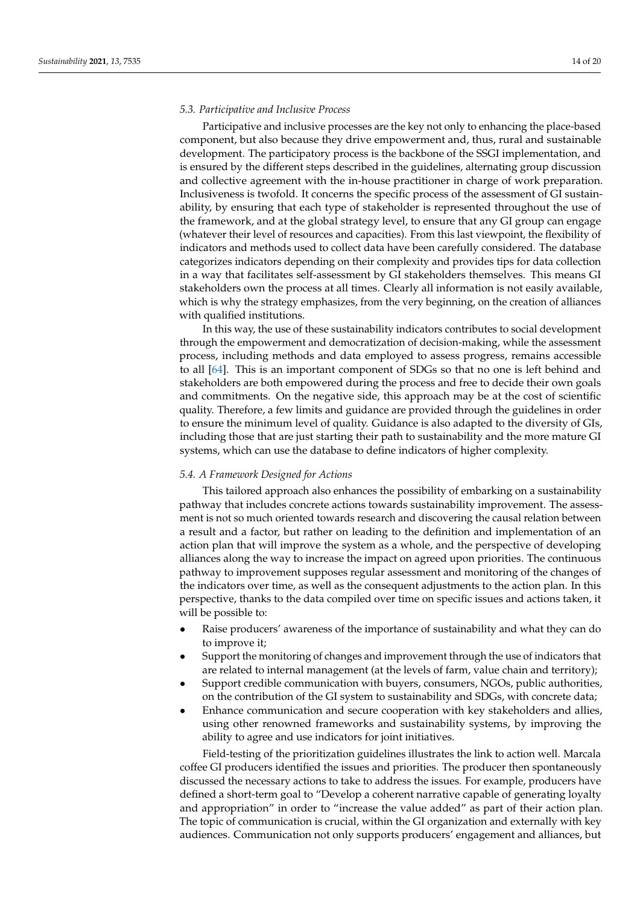## *5.3. Participative and Inclusive Process*

Participative and inclusive processes are the key not only to enhancing the place-based component, but also because they drive empowerment and, thus, rural and sustainable development. The participatory process is the backbone of the SSGI implementation, and is ensured by the different steps described in the guidelines, alternating group discussion and collective agreement with the in-house practitioner in charge of work preparation. Inclusiveness is twofold. It concerns the specific process of the assessment of GI sustainability, by ensuring that each type of stakeholder is represented throughout the use of the framework, and at the global strategy level, to ensure that any GI group can engage (whatever their level of resources and capacities). From this last viewpoint, the flexibility of indicators and methods used to collect data have been carefully considered. The database categorizes indicators depending on their complexity and provides tips for data collection in a way that facilitates self-assessment by GI stakeholders themselves. This means GI stakeholders own the process at all times. Clearly all information is not easily available, which is why the strategy emphasizes, from the very beginning, on the creation of alliances with qualified institutions.

In this way, the use of these sustainability indicators contributes to social development through the empowerment and democratization of decision-making, while the assessment process, including methods and data employed to assess progress, remains accessible to all [\[64\]](#page-18-4). This is an important component of SDGs so that no one is left behind and stakeholders are both empowered during the process and free to decide their own goals and commitments. On the negative side, this approach may be at the cost of scientific quality. Therefore, a few limits and guidance are provided through the guidelines in order to ensure the minimum level of quality. Guidance is also adapted to the diversity of GIs, including those that are just starting their path to sustainability and the more mature GI systems, which can use the database to define indicators of higher complexity.

## *5.4. A Framework Designed for Actions*

This tailored approach also enhances the possibility of embarking on a sustainability pathway that includes concrete actions towards sustainability improvement. The assessment is not so much oriented towards research and discovering the causal relation between a result and a factor, but rather on leading to the definition and implementation of an action plan that will improve the system as a whole, and the perspective of developing alliances along the way to increase the impact on agreed upon priorities. The continuous pathway to improvement supposes regular assessment and monitoring of the changes of the indicators over time, as well as the consequent adjustments to the action plan. In this perspective, thanks to the data compiled over time on specific issues and actions taken, it will be possible to:

- Raise producers' awareness of the importance of sustainability and what they can do to improve it;
- Support the monitoring of changes and improvement through the use of indicators that are related to internal management (at the levels of farm, value chain and territory);
- Support credible communication with buyers, consumers, NGOs, public authorities, on the contribution of the GI system to sustainability and SDGs, with concrete data;
- Enhance communication and secure cooperation with key stakeholders and allies, using other renowned frameworks and sustainability systems, by improving the ability to agree and use indicators for joint initiatives.

Field-testing of the prioritization guidelines illustrates the link to action well. Marcala coffee GI producers identified the issues and priorities. The producer then spontaneously discussed the necessary actions to take to address the issues. For example, producers have defined a short-term goal to "Develop a coherent narrative capable of generating loyalty and appropriation" in order to "increase the value added" as part of their action plan. The topic of communication is crucial, within the GI organization and externally with key audiences. Communication not only supports producers' engagement and alliances, but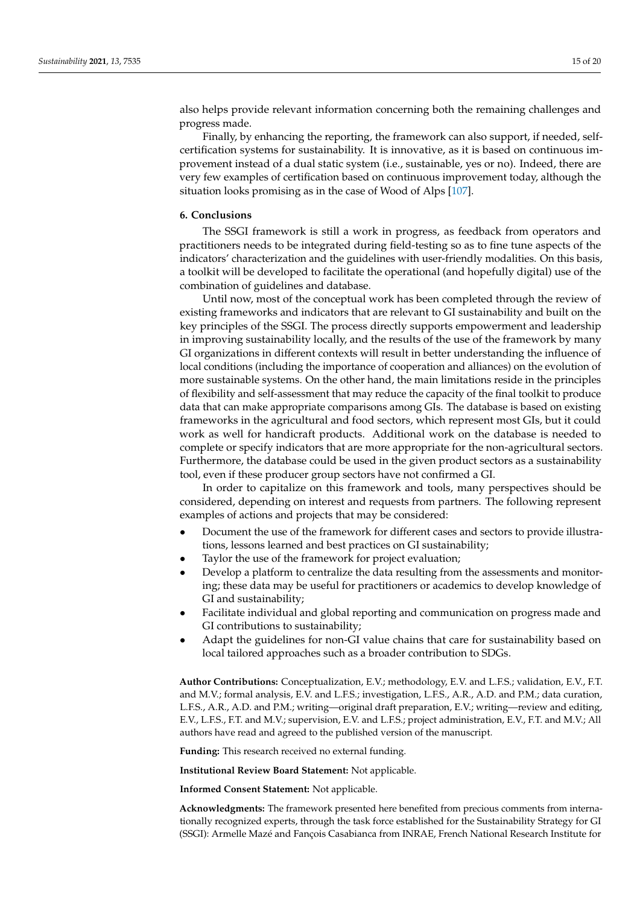also helps provide relevant information concerning both the remaining challenges and progress made.

Finally, by enhancing the reporting, the framework can also support, if needed, selfcertification systems for sustainability. It is innovative, as it is based on continuous improvement instead of a dual static system (i.e., sustainable, yes or no). Indeed, there are very few examples of certification based on continuous improvement today, although the situation looks promising as in the case of Wood of Alps [\[107\]](#page-19-15).

## <span id="page-14-0"></span>**6. Conclusions**

The SSGI framework is still a work in progress, as feedback from operators and practitioners needs to be integrated during field-testing so as to fine tune aspects of the indicators' characterization and the guidelines with user-friendly modalities. On this basis, a toolkit will be developed to facilitate the operational (and hopefully digital) use of the combination of guidelines and database.

Until now, most of the conceptual work has been completed through the review of existing frameworks and indicators that are relevant to GI sustainability and built on the key principles of the SSGI. The process directly supports empowerment and leadership in improving sustainability locally, and the results of the use of the framework by many GI organizations in different contexts will result in better understanding the influence of local conditions (including the importance of cooperation and alliances) on the evolution of more sustainable systems. On the other hand, the main limitations reside in the principles of flexibility and self-assessment that may reduce the capacity of the final toolkit to produce data that can make appropriate comparisons among GIs. The database is based on existing frameworks in the agricultural and food sectors, which represent most GIs, but it could work as well for handicraft products. Additional work on the database is needed to complete or specify indicators that are more appropriate for the non-agricultural sectors. Furthermore, the database could be used in the given product sectors as a sustainability tool, even if these producer group sectors have not confirmed a GI.

In order to capitalize on this framework and tools, many perspectives should be considered, depending on interest and requests from partners. The following represent examples of actions and projects that may be considered:

- Document the use of the framework for different cases and sectors to provide illustrations, lessons learned and best practices on GI sustainability;
- Taylor the use of the framework for project evaluation;
- Develop a platform to centralize the data resulting from the assessments and monitoring; these data may be useful for practitioners or academics to develop knowledge of GI and sustainability;
- Facilitate individual and global reporting and communication on progress made and GI contributions to sustainability;
- Adapt the guidelines for non-GI value chains that care for sustainability based on local tailored approaches such as a broader contribution to SDGs.

**Author Contributions:** Conceptualization, E.V.; methodology, E.V. and L.F.S.; validation, E.V., F.T. and M.V.; formal analysis, E.V. and L.F.S.; investigation, L.F.S., A.R., A.D. and P.M.; data curation, L.F.S., A.R., A.D. and P.M.; writing—original draft preparation, E.V.; writing—review and editing, E.V., L.F.S., F.T. and M.V.; supervision, E.V. and L.F.S.; project administration, E.V., F.T. and M.V.; All authors have read and agreed to the published version of the manuscript.

**Funding:** This research received no external funding.

**Institutional Review Board Statement:** Not applicable.

**Informed Consent Statement:** Not applicable.

**Acknowledgments:** The framework presented here benefited from precious comments from internationally recognized experts, through the task force established for the Sustainability Strategy for GI (SSGI): Armelle Mazé and Fançois Casabianca from INRAE, French National Research Institute for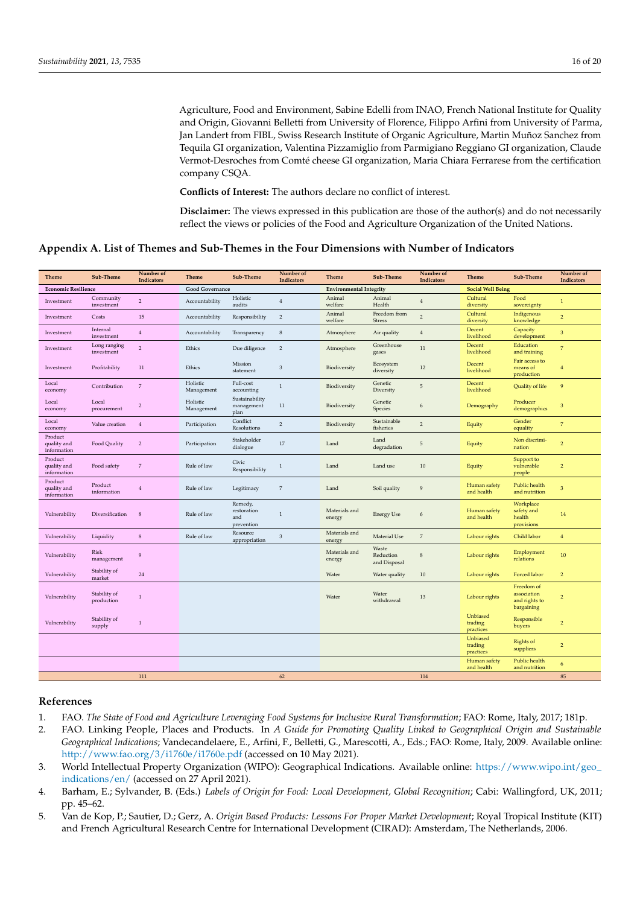Agriculture, Food and Environment, Sabine Edelli from INAO, French National Institute for Quality and Origin, Giovanni Belletti from University of Florence, Filippo Arfini from University of Parma, Jan Landert from FIBL, Swiss Research Institute of Organic Agriculture, Martin Muñoz Sanchez from Tequila GI organization, Valentina Pizzamiglio from Parmigiano Reggiano GI organization, Claude Vermot-Desroches from Comté cheese GI organization, Maria Chiara Ferrarese from the certification company CSQA.

**Conflicts of Interest:** The authors declare no conflict of interest.

**Disclaimer:** The views expressed in this publication are those of the author(s) and do not necessarily reflect the views or policies of the Food and Agriculture Organization of the United Nations.

# <span id="page-15-4"></span>**Appendix A. List of Themes and Sub-Themes in the Four Dimensions with Number of Indicators**

| <b>Theme</b>                          | Sub-Theme                  | Number of<br><b>Indicators</b> | Theme                  | Sub-Theme                                   | Number of<br>Indicators | Theme                          | Sub-Theme                          | Number of<br>Indicators | <b>Theme</b>                     | Sub-Theme                                                | Number of<br>Indicators |
|---------------------------------------|----------------------------|--------------------------------|------------------------|---------------------------------------------|-------------------------|--------------------------------|------------------------------------|-------------------------|----------------------------------|----------------------------------------------------------|-------------------------|
| <b>Economic Resilience</b>            |                            |                                | <b>Good Governance</b> |                                             |                         | <b>Environmental Integrity</b> |                                    |                         | <b>Social Well Being</b>         |                                                          |                         |
| Investment                            | Community<br>investment    | $\overline{2}$                 | Accountability         | Holistic<br>audits                          | $\overline{4}$          | Animal<br>welfare              | Animal<br>Health                   | $\overline{4}$          | Cultural<br>diversity            | Food<br>sovereignty                                      | $\mathbf{1}$            |
| Investment                            | Costs                      | 15                             | Accountability         | Responsibility                              | $\overline{2}$          | Animal<br>welfare              | Freedom from<br><b>Stress</b>      | 2                       | Cultural<br>diversity            | Indigenous<br>knowledge                                  | $\overline{2}$          |
| Investment                            | Internal<br>investment     | $\overline{4}$                 | Accountability         | Transparency                                | $\,$ 8 $\,$             | Atmosphere                     | Air quality                        | $\overline{4}$          | Decent<br>livelihood             | Capacity<br>development                                  | 3                       |
| Investment                            | Long ranging<br>investment | $\overline{2}$                 | Ethics                 | Due diligence                               | $\sqrt{2}$              | Atmosphere                     | Greenhouse<br>gases                | 11                      | Decent<br>livelihood             | Education<br>and training                                | $\overline{7}$          |
| Investment                            | Profitability              | 11                             | Ethics                 | Mission<br>statement                        | $\mathfrak{Z}$          | Biodiversity                   | Ecosystem<br>diversity             | 12                      | Decent<br>livelihood             | Fair access to<br>means of<br>production                 | $\overline{4}$          |
| Local<br>economy                      | Contribution               | $\overline{7}$                 | Holistic<br>Management | Full-cost<br>accounting                     | $\mathbf{1}$            | Biodiversity                   | Genetic<br>Diversity               | 5                       | Decent<br>livelihood             | Quality of life                                          | 9                       |
| Local<br>economy                      | Local<br>procurement       | $\overline{2}$                 | Holistic<br>Management | Sustainability<br>management<br>plan        | 11                      | Biodiversity                   | Genetic<br>Species                 | 6                       | Demography                       | Producer<br>demographics                                 | 3                       |
| Local<br>economy                      | Value creation             | $\overline{4}$                 | Participation          | Conflict<br>Resolutions                     | $\sqrt{2}$              | Biodiversity                   | Sustainable<br>fisheries           | $\overline{2}$          | Equity                           | Gender<br>equality                                       | $\overline{7}$          |
| Product<br>quality and<br>information | Food Quality               | $\overline{2}$                 | Participation          | Stakeholder<br>dialogue                     | 17                      | Land                           | Land<br>degradation                | $\sqrt{5}$              | Equity                           | Non discrimi-<br>nation                                  | $\overline{2}$          |
| Product<br>quality and<br>information | Food safety                | $\overline{7}$                 | Rule of law            | Civic<br>Responsibility                     | $\mathbf{1}$            | Land                           | Land use                           | 10                      | Equity                           | Support to<br>vulnerable<br>people                       | $\overline{2}$          |
| Product<br>quality and<br>information | Product<br>information     | 4                              | Rule of law            | Legitimacy                                  | $\overline{7}$          | Land                           | Soil quality                       | 9                       | Human safety<br>and health       | Public health<br>and nutrition                           | 3                       |
| Vulnerability                         | Diversification            | $\,$ 8 $\,$                    | Rule of law            | Remedy,<br>restoration<br>and<br>prevention | $\mathbf{1}$            | Materials and<br>energy        | <b>Energy Use</b>                  | 6                       | Human safety<br>and health       | Workplace<br>safety and<br>health<br>provisions          | 14                      |
| Vulnerability                         | Liquidity                  | $\,$ 8 $\,$                    | Rule of law            | Resource<br>appropriation                   | $\mathfrak{Z}$          | Materials and<br>energy        | Material Use                       | $\overline{7}$          | Labour rights                    | Child labor                                              | $\overline{4}$          |
| Vulnerability                         | Risk<br>management         | $\overline{9}$                 |                        |                                             |                         | Materials and<br>energy        | Waste<br>Reduction<br>and Disposal | $\bf8$                  | Labour rights                    | Employment<br>relations                                  | 10                      |
| Vulnerability                         | Stability of<br>market     | 24                             |                        |                                             |                         | Water                          | Water quality                      | $10\,$                  | Labour rights                    | Forced labor                                             | $\overline{2}$          |
| Vulnerability                         | Stability of<br>production | $\mathbf{1}$                   |                        |                                             |                         | Water                          | Water<br>withdrawal                | 13                      | Labour rights                    | Freedom of<br>association<br>and rights to<br>bargaining | $\overline{2}$          |
| Vulnerability                         | Stability of<br>supply     | $\overline{1}$                 |                        |                                             |                         |                                |                                    |                         | Unbiased<br>trading<br>practices | Responsible<br>buyers                                    | $\overline{2}$          |
|                                       |                            |                                |                        |                                             |                         |                                |                                    |                         | Unbiased<br>trading<br>practices | Rights of<br>suppliers                                   | $\overline{2}$          |
|                                       |                            |                                |                        |                                             |                         |                                |                                    |                         | Human safety<br>and health       | Public health<br>and nutrition                           | 6                       |
|                                       |                            | 111                            |                        |                                             | 62                      |                                |                                    | 114                     |                                  |                                                          | 85                      |

# **References**

- <span id="page-15-0"></span>1. FAO. *The State of Food and Agriculture Leveraging Food Systems for Inclusive Rural Transformation*; FAO: Rome, Italy, 2017; 181p.
- <span id="page-15-1"></span>2. FAO. Linking People, Places and Products. In *A Guide for Promoting Quality Linked to Geographical Origin and Sustainable Geographical Indications*; Vandecandelaere, E., Arfini, F., Belletti, G., Marescotti, A., Eds.; FAO: Rome, Italy, 2009. Available online: <http://www.fao.org/3/i1760e/i1760e.pdf> (accessed on 10 May 2021).
- <span id="page-15-2"></span>3. World Intellectual Property Organization (WIPO): Geographical Indications. Available online: [https://www.wipo.int/geo\\_](https://www.wipo.int/geo_indications/en/) [indications/en/](https://www.wipo.int/geo_indications/en/) (accessed on 27 April 2021).
- <span id="page-15-3"></span>4. Barham, E.; Sylvander, B. (Eds.) *Labels of Origin for Food: Local Development, Global Recognition*; Cabi: Wallingford, UK, 2011; pp. 45–62.
- 5. Van de Kop, P.; Sautier, D.; Gerz, A. *Origin Based Products: Lessons For Proper Market Development*; Royal Tropical Institute (KIT) and French Agricultural Research Centre for International Development (CIRAD): Amsterdam, The Netherlands, 2006.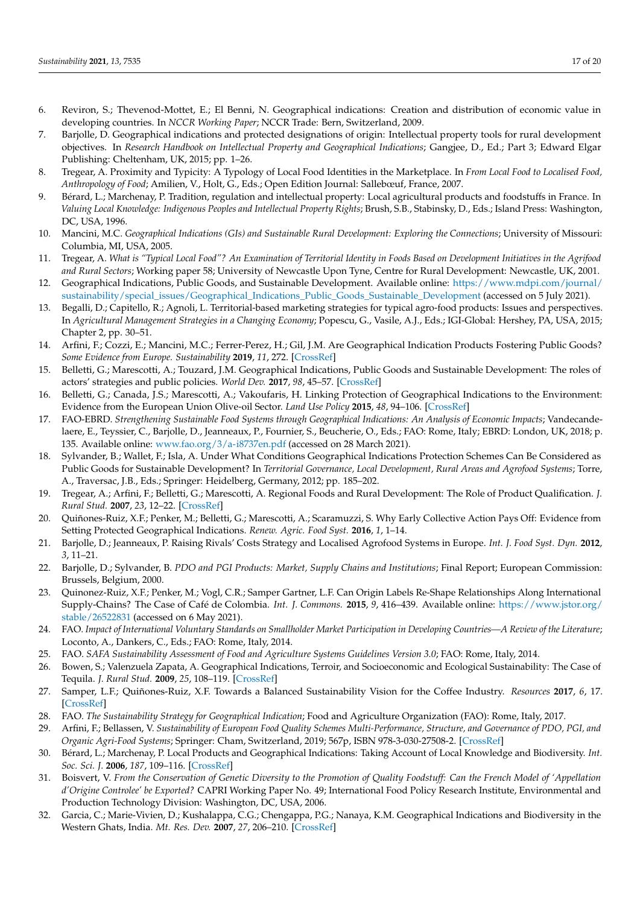- <span id="page-16-23"></span>6. Reviron, S.; Thevenod-Mottet, E.; El Benni, N. Geographical indications: Creation and distribution of economic value in developing countries. In *NCCR Working Paper*; NCCR Trade: Bern, Switzerland, 2009.
- <span id="page-16-12"></span>7. Barjolle, D. Geographical indications and protected designations of origin: Intellectual property tools for rural development objectives. In *Research Handbook on Intellectual Property and Geographical Indications*; Gangjee, D., Ed.; Part 3; Edward Elgar Publishing: Cheltenham, UK, 2015; pp. 1–26.
- <span id="page-16-0"></span>8. Tregear, A. Proximity and Typicity: A Typology of Local Food Identities in the Marketplace. In *From Local Food to Localised Food, Anthropology of Food*; Amilien, V., Holt, G., Eds.; Open Edition Journal: Sallebœuf, France, 2007.
- <span id="page-16-1"></span>9. Bérard, L.; Marchenay, P. Tradition, regulation and intellectual property: Local agricultural products and foodstuffs in France. In *Valuing Local Knowledge: Indigenous Peoples and Intellectual Property Rights*; Brush, S.B., Stabinsky, D., Eds.; Island Press: Washington, DC, USA, 1996.
- 10. Mancini, M.C. *Geographical Indications (GIs) and Sustainable Rural Development: Exploring the Connections*; University of Missouri: Columbia, MI, USA, 2005.
- <span id="page-16-2"></span>11. Tregear, A. *What is "Typical Local Food"? An Examination of Territorial Identity in Foods Based on Development Initiatives in the Agrifood and Rural Sectors*; Working paper 58; University of Newcastle Upon Tyne, Centre for Rural Development: Newcastle, UK, 2001.
- <span id="page-16-3"></span>12. Geographical Indications, Public Goods, and Sustainable Development. Available online: [https://www.mdpi.com/journal/](https://www.mdpi.com/journal/sustainability/special_issues/Geographical_Indications_Public_Goods_Sustainable_Development) [sustainability/special\\_issues/Geographical\\_Indications\\_Public\\_Goods\\_Sustainable\\_Development](https://www.mdpi.com/journal/sustainability/special_issues/Geographical_Indications_Public_Goods_Sustainable_Development) (accessed on 5 July 2021).
- <span id="page-16-4"></span>13. Begalli, D.; Capitello, R.; Agnoli, L. Territorial-based marketing strategies for typical agro-food products: Issues and perspectives. In *Agricultural Management Strategies in a Changing Economy*; Popescu, G., Vasile, A.J., Eds.; IGI-Global: Hershey, PA, USA, 2015; Chapter 2, pp. 30–51.
- <span id="page-16-5"></span>14. Arfini, F.; Cozzi, E.; Mancini, M.C.; Ferrer-Perez, H.; Gil, J.M. Are Geographical Indication Products Fostering Public Goods? *Some Evidence from Europe. Sustainability* **2019**, *11*, 272. [\[CrossRef\]](http://doi.org/10.3390/su11010272)
- <span id="page-16-6"></span>15. Belletti, G.; Marescotti, A.; Touzard, J.M. Geographical Indications, Public Goods and Sustainable Development: The roles of actors' strategies and public policies. *World Dev.* **2017**, *98*, 45–57. [\[CrossRef\]](http://doi.org/10.1016/j.worlddev.2015.05.004)
- <span id="page-16-7"></span>16. Belletti, G.; Canada, J.S.; Marescotti, A.; Vakoufaris, H. Linking Protection of Geographical Indications to the Environment: Evidence from the European Union Olive-oil Sector. *Land Use Policy* **2015**, *48*, 94–106. [\[CrossRef\]](http://doi.org/10.1016/j.landusepol.2015.05.003)
- <span id="page-16-8"></span>17. FAO-EBRD. *Strengthening Sustainable Food Systems through Geographical Indications: An Analysis of Economic Impacts*; Vandecandelaere, E., Teyssier, C., Barjolle, D., Jeanneaux, P., Fournier, S., Beucherie, O., Eds.; FAO: Rome, Italy; EBRD: London, UK, 2018; p. 135. Available online: <www.fao.org/3/a-i8737en.pdf> (accessed on 28 March 2021).
- <span id="page-16-9"></span>18. Sylvander, B.; Wallet, F.; Isla, A. Under What Conditions Geographical Indications Protection Schemes Can Be Considered as Public Goods for Sustainable Development? In *Territorial Governance, Local Development, Rural Areas and Agrofood Systems*; Torre, A., Traversac, J.B., Eds.; Springer: Heidelberg, Germany, 2012; pp. 185–202.
- <span id="page-16-10"></span>19. Tregear, A.; Arfini, F.; Belletti, G.; Marescotti, A. Regional Foods and Rural Development: The Role of Product Qualification. *J. Rural Stud.* **2007**, *23*, 12–22. [\[CrossRef\]](http://doi.org/10.1016/j.jrurstud.2006.09.010)
- <span id="page-16-11"></span>20. Quiñones-Ruiz, X.F.; Penker, M.; Belletti, G.; Marescotti, A.; Scaramuzzi, S. Why Early Collective Action Pays Off: Evidence from Setting Protected Geographical Indications. *Renew. Agric. Food Syst.* **2016**, *1*, 1–14.
- <span id="page-16-13"></span>21. Barjolle, D.; Jeanneaux, P. Raising Rivals' Costs Strategy and Localised Agrofood Systems in Europe. *Int. J. Food Syst. Dyn.* **2012**, *3*, 11–21.
- <span id="page-16-14"></span>22. Barjolle, D.; Sylvander, B. *PDO and PGI Products: Market, Supply Chains and Institutions*; Final Report; European Commission: Brussels, Belgium, 2000.
- <span id="page-16-15"></span>23. Quinonez-Ruiz, X.F.; Penker, M.; Vogl, C.R.; Samper Gartner, L.F. Can Origin Labels Re-Shape Relationships Along International Supply-Chains? The Case of Café de Colombia. *Int. J. Commons.* **2015**, *9*, 416–439. Available online: [https://www.jstor.org/](https://www.jstor.org/stable/26522831) [stable/26522831](https://www.jstor.org/stable/26522831) (accessed on 6 May 2021).
- <span id="page-16-16"></span>24. FAO. *Impact of International Voluntary Standards on Smallholder Market Participation in Developing Countries—A Review of the Literature*; Loconto, A., Dankers, C., Eds.; FAO: Rome, Italy, 2014.
- <span id="page-16-17"></span>25. FAO. *SAFA Sustainability Assessment of Food and Agriculture Systems Guidelines Version 3.0*; FAO: Rome, Italy, 2014.
- <span id="page-16-18"></span>26. Bowen, S.; Valenzuela Zapata, A. Geographical Indications, Terroir, and Socioeconomic and Ecological Sustainability: The Case of Tequila. *J. Rural Stud.* **2009**, *25*, 108–119. [\[CrossRef\]](http://doi.org/10.1016/j.jrurstud.2008.07.003)
- <span id="page-16-19"></span>27. Samper, L.F.; Quiñones-Ruiz, X.F. Towards a Balanced Sustainability Vision for the Coffee Industry. *Resources* **2017**, *6*, 17. [\[CrossRef\]](http://doi.org/10.3390/resources6020017)
- <span id="page-16-20"></span>28. FAO. *The Sustainability Strategy for Geographical Indication*; Food and Agriculture Organization (FAO): Rome, Italy, 2017.
- <span id="page-16-21"></span>29. Arfini, F.; Bellassen, V. *Sustainability of European Food Quality Schemes Multi-Performance, Structure, and Governance of PDO, PGI, and Organic Agri-Food Systems*; Springer: Cham, Switzerland, 2019; 567p, ISBN 978-3-030-27508-2. [\[CrossRef\]](http://doi.org/10.1007/978-3-030-27508-2)
- <span id="page-16-22"></span>30. Bérard, L.; Marchenay, P. Local Products and Geographical Indications: Taking Account of Local Knowledge and Biodiversity. *Int. Soc. Sci. J.* **2006**, *187*, 109–116. [\[CrossRef\]](http://doi.org/10.1111/j.1468-2451.2006.00592.x)
- 31. Boisvert, V. *From the Conservation of Genetic Diversity to the Promotion of Quality Foodstuff: Can the French Model of 'Appellation d'Origine Controlee' be Exported?* CAPRI Working Paper No. 49; International Food Policy Research Institute, Environmental and Production Technology Division: Washington, DC, USA, 2006.
- 32. Garcia, C.; Marie-Vivien, D.; Kushalappa, C.G.; Chengappa, P.G.; Nanaya, K.M. Geographical Indications and Biodiversity in the Western Ghats, India. *Mt. Res. Dev.* **2007**, *27*, 206–210. [\[CrossRef\]](http://doi.org/10.1659/mrd.0922)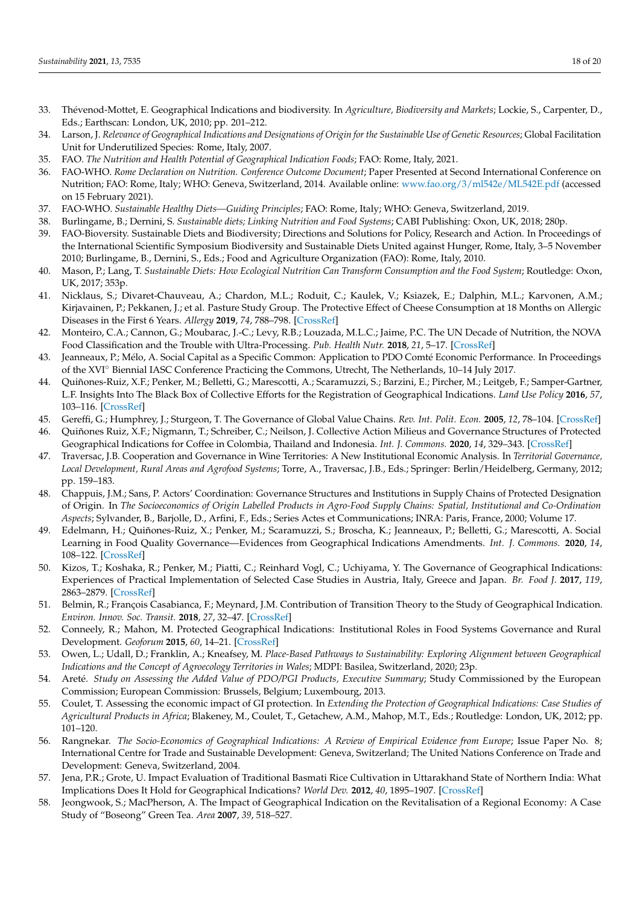- 33. Thévenod-Mottet, E. Geographical Indications and biodiversity. In *Agriculture, Biodiversity and Markets*; Lockie, S., Carpenter, D., Eds.; Earthscan: London, UK, 2010; pp. 201–212.
- <span id="page-17-0"></span>34. Larson, J. *Relevance of Geographical Indications and Designations of Origin for the Sustainable Use of Genetic Resources*; Global Facilitation Unit for Underutilized Species: Rome, Italy, 2007.
- <span id="page-17-1"></span>35. FAO. *The Nutrition and Health Potential of Geographical Indication Foods*; FAO: Rome, Italy, 2021.
- <span id="page-17-2"></span>36. FAO-WHO. *Rome Declaration on Nutrition. Conference Outcome Document*; Paper Presented at Second International Conference on Nutrition; FAO: Rome, Italy; WHO: Geneva, Switzerland, 2014. Available online: <www.fao.org/3/ml542e/ML542E.pdf> (accessed on 15 February 2021).
- 37. FAO-WHO. *Sustainable Healthy Diets—Guiding Principles*; FAO: Rome, Italy; WHO: Geneva, Switzerland, 2019.
- <span id="page-17-3"></span>38. Burlingame, B.; Dernini, S. *Sustainable diets; Linking Nutrition and Food Systems*; CABI Publishing: Oxon, UK, 2018; 280p.
- <span id="page-17-4"></span>39. FAO-Bioversity. Sustainable Diets and Biodiversity; Directions and Solutions for Policy, Research and Action. In Proceedings of the International Scientific Symposium Biodiversity and Sustainable Diets United against Hunger, Rome, Italy, 3–5 November 2010; Burlingame, B., Dernini, S., Eds.; Food and Agriculture Organization (FAO): Rome, Italy, 2010.
- <span id="page-17-5"></span>40. Mason, P.; Lang, T. *Sustainable Diets: How Ecological Nutrition Can Transform Consumption and the Food System*; Routledge: Oxon, UK, 2017; 353p.
- <span id="page-17-6"></span>41. Nicklaus, S.; Divaret-Chauveau, A.; Chardon, M.L.; Roduit, C.; Kaulek, V.; Ksiazek, E.; Dalphin, M.L.; Karvonen, A.M.; Kirjavainen, P.; Pekkanen, J.; et al. Pasture Study Group. The Protective Effect of Cheese Consumption at 18 Months on Allergic Diseases in the First 6 Years. *Allergy* **2019**, *74*, 788–798. [\[CrossRef\]](http://doi.org/10.1111/all.13650)
- <span id="page-17-7"></span>42. Monteiro, C.A.; Cannon, G.; Moubarac, J.-C.; Levy, R.B.; Louzada, M.L.C.; Jaime, P.C. The UN Decade of Nutrition, the NOVA Food Classification and the Trouble with Ultra-Processing. *Pub. Health Nutr.* **2018**, *21*, 5–17. [\[CrossRef\]](http://doi.org/10.1017/S1368980017000234)
- <span id="page-17-8"></span>43. Jeanneaux, P.; Mélo, A. Social Capital as a Specific Common: Application to PDO Comté Economic Performance. In Proceedings of the XVI◦ Biennial IASC Conference Practicing the Commons, Utrecht, The Netherlands, 10–14 July 2017.
- 44. Quiñones-Ruiz, X.F.; Penker, M.; Belletti, G.; Marescotti, A.; Scaramuzzi, S.; Barzini, E.; Pircher, M.; Leitgeb, F.; Samper-Gartner, L.F. Insights Into The Black Box of Collective Efforts for the Registration of Geographical Indications. *Land Use Policy* **2016**, *57*, 103–116. [\[CrossRef\]](http://doi.org/10.1016/j.landusepol.2016.05.021)
- <span id="page-17-9"></span>45. Gereffi, G.; Humphrey, J.; Sturgeon, T. The Governance of Global Value Chains. *Rev. Int. Polit. Econ.* **2005**, *12*, 78–104. [\[CrossRef\]](http://doi.org/10.1080/09692290500049805)
- <span id="page-17-10"></span>46. Quiñones Ruiz, X.F.; Nigmann, T.; Schreiber, C.; Neilson, J. Collective Action Milieus and Governance Structures of Protected Geographical Indications for Coffee in Colombia, Thailand and Indonesia. *Int. J. Commons.* **2020**, *14*, 329–343. [\[CrossRef\]](http://doi.org/10.5334/ijc.1007)
- <span id="page-17-11"></span>47. Traversac, J.B. Cooperation and Governance in Wine Territories: A New Institutional Economic Analysis. In *Territorial Governance, Local Development, Rural Areas and Agrofood Systems*; Torre, A., Traversac, J.B., Eds.; Springer: Berlin/Heidelberg, Germany, 2012; pp. 159–183.
- 48. Chappuis, J.M.; Sans, P. Actors' Coordination: Governance Structures and Institutions in Supply Chains of Protected Designation of Origin. In *The Socioeconomics of Origin Labelled Products in Agro-Food Supply Chains: Spatial, Institutional and Co-Ordination Aspects*; Sylvander, B., Barjolle, D., Arfini, F., Eds.; Series Actes et Communications; INRA: Paris, France, 2000; Volume 17.
- 49. Edelmann, H.; Quiñones-Ruiz, X.; Penker, M.; Scaramuzzi, S.; Broscha, K.; Jeanneaux, P.; Belletti, G.; Marescotti, A. Social Learning in Food Quality Governance—Evidences from Geographical Indications Amendments. *Int. J. Commons.* **2020**, *14*, 108–122. [\[CrossRef\]](http://doi.org/10.5334/ijc.968)
- <span id="page-17-12"></span>50. Kizos, T.; Koshaka, R.; Penker, M.; Piatti, C.; Reinhard Vogl, C.; Uchiyama, Y. The Governance of Geographical Indications: Experiences of Practical Implementation of Selected Case Studies in Austria, Italy, Greece and Japan. *Br. Food J.* **2017**, *119*, 2863–2879. [\[CrossRef\]](http://doi.org/10.1108/BFJ-01-2017-0037)
- <span id="page-17-13"></span>51. Belmin, R.; François Casabianca, F.; Meynard, J.M. Contribution of Transition Theory to the Study of Geographical Indication. *Environ. Innov. Soc. Transit.* **2018**, *27*, 32–47. [\[CrossRef\]](http://doi.org/10.1016/j.eist.2017.10.002)
- <span id="page-17-14"></span>52. Conneely, R.; Mahon, M. Protected Geographical Indications: Institutional Roles in Food Systems Governance and Rural Development. *Geoforum* **2015**, *60*, 14–21. [\[CrossRef\]](http://doi.org/10.1016/j.geoforum.2015.01.004)
- <span id="page-17-15"></span>53. Owen, L.; Udall, D.; Franklin, A.; Kneafsey, M. *Place-Based Pathways to Sustainability: Exploring Alignment between Geographical Indications and the Concept of Agroecology Territories in Wales*; MDPI: Basilea, Switzerland, 2020; 23p.
- <span id="page-17-16"></span>54. Areté. *Study on Assessing the Added Value of PDO/PGI Products, Executive Summary*; Study Commissioned by the European Commission; European Commission: Brussels, Belgium; Luxembourg, 2013.
- 55. Coulet, T. Assessing the economic impact of GI protection. In *Extending the Protection of Geographical Indications: Case Studies of Agricultural Products in Africa*; Blakeney, M., Coulet, T., Getachew, A.M., Mahop, M.T., Eds.; Routledge: London, UK, 2012; pp. 101–120.
- 56. Rangnekar. *The Socio-Economics of Geographical Indications: A Review of Empirical Evidence from Europe*; Issue Paper No. 8; International Centre for Trade and Sustainable Development: Geneva, Switzerland; The United Nations Conference on Trade and Development: Geneva, Switzerland, 2004.
- 57. Jena, P.R.; Grote, U. Impact Evaluation of Traditional Basmati Rice Cultivation in Uttarakhand State of Northern India: What Implications Does It Hold for Geographical Indications? *World Dev.* **2012**, *40*, 1895–1907. [\[CrossRef\]](http://doi.org/10.1016/j.worlddev.2012.04.004)
- 58. Jeongwook, S.; MacPherson, A. The Impact of Geographical Indication on the Revitalisation of a Regional Economy: A Case Study of "Boseong" Green Tea. *Area* **2007**, *39*, 518–527.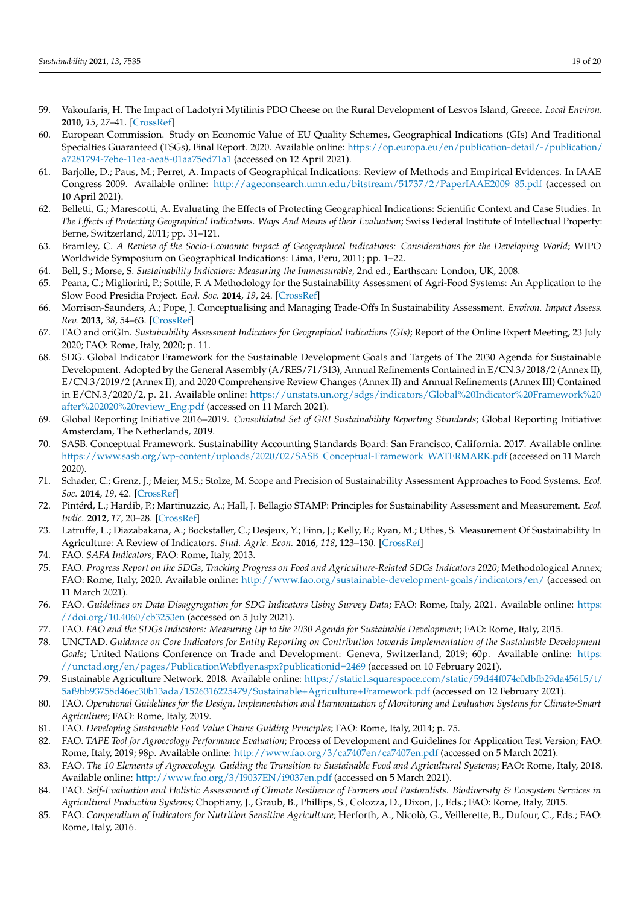- 59. Vakoufaris, H. The Impact of Ladotyri Mytilinis PDO Cheese on the Rural Development of Lesvos Island, Greece. *Local Environ.* **2010**, *15*, 27–41. [\[CrossRef\]](http://doi.org/10.1080/13549830903406057)
- <span id="page-18-0"></span>60. European Commission. Study on Economic Value of EU Quality Schemes, Geographical Indications (GIs) And Traditional Specialties Guaranteed (TSGs), Final Report. 2020. Available online: [https://op.europa.eu/en/publication-detail/-/publication/](https://op.europa.eu/en/publication-detail/-/publication/a7281794-7ebe-11ea-aea8-01aa75ed71a1) [a7281794-7ebe-11ea-aea8-01aa75ed71a1](https://op.europa.eu/en/publication-detail/-/publication/a7281794-7ebe-11ea-aea8-01aa75ed71a1) (accessed on 12 April 2021).
- <span id="page-18-1"></span>61. Barjolle, D.; Paus, M.; Perret, A. Impacts of Geographical Indications: Review of Methods and Empirical Evidences. In IAAE Congress 2009. Available online: [http://ageconsearch.umn.edu/bitstream/51737/2/PaperIAAE2009\\_85.pdf](http://ageconsearch.umn.edu/bitstream/51737/2/PaperIAAE2009_85.pdf) (accessed on 10 April 2021).
- <span id="page-18-2"></span>62. Belletti, G.; Marescotti, A. Evaluating the Effects of Protecting Geographical Indications: Scientific Context and Case Studies. In *The Effects of Protecting Geographical Indications. Ways And Means of their Evaluation*; Swiss Federal Institute of Intellectual Property: Berne, Switzerland, 2011; pp. 31–121.
- <span id="page-18-3"></span>63. Bramley, C. *A Review of the Socio-Economic Impact of Geographical Indications: Considerations for the Developing World*; WIPO Worldwide Symposium on Geographical Indications: Lima, Peru, 2011; pp. 1–22.
- <span id="page-18-4"></span>64. Bell, S.; Morse, S. *Sustainability Indicators: Measuring the Immeasurable*, 2nd ed.; Earthscan: London, UK, 2008.
- <span id="page-18-5"></span>65. Peana, C.; Migliorini, P.; Sottile, F. A Methodology for the Sustainability Assessment of Agri-Food Systems: An Application to the Slow Food Presidia Project. *Ecol. Soc.* **2014**, *19*, 24. [\[CrossRef\]](http://doi.org/10.5751/ES-06972-190424)
- <span id="page-18-6"></span>66. Morrison-Saunders, A.; Pope, J. Conceptualising and Managing Trade-Offs In Sustainability Assessment. *Environ. Impact Assess. Rev.* **2013**, *38*, 54–63. [\[CrossRef\]](http://doi.org/10.1016/j.eiar.2012.06.003)
- <span id="page-18-7"></span>67. FAO and oriGIn. *Sustainability Assessment Indicators for Geographical Indications (GIs)*; Report of the Online Expert Meeting, 23 July 2020; FAO: Rome, Italy, 2020; p. 11.
- <span id="page-18-8"></span>68. SDG. Global Indicator Framework for the Sustainable Development Goals and Targets of The 2030 Agenda for Sustainable Development. Adopted by the General Assembly (A/RES/71/313), Annual Refinements Contained in E/CN.3/2018/2 (Annex II), E/CN.3/2019/2 (Annex II), and 2020 Comprehensive Review Changes (Annex II) and Annual Refinements (Annex III) Contained in E/CN.3/2020/2, p. 21. Available online: [https://unstats.un.org/sdgs/indicators/Global%20Indicator%20Framework%20](https://unstats.un.org/sdgs/indicators/Global%20Indicator%20Framework%20after%202020%20review_Eng.pdf) [after%202020%20review\\_Eng.pdf](https://unstats.un.org/sdgs/indicators/Global%20Indicator%20Framework%20after%202020%20review_Eng.pdf) (accessed on 11 March 2021).
- <span id="page-18-9"></span>69. Global Reporting Initiative 2016–2019. *Consolidated Set of GRI Sustainability Reporting Standards*; Global Reporting Initiative: Amsterdam, The Netherlands, 2019.
- <span id="page-18-10"></span>70. SASB. Conceptual Framework. Sustainability Accounting Standards Board: San Francisco, California. 2017. Available online: [https://www.sasb.org/wp-content/uploads/2020/02/SASB\\_Conceptual-Framework\\_WATERMARK.pdf](https://www.sasb.org/wp-content/uploads/2020/02/SASB_Conceptual-Framework_WATERMARK.pdf) (accessed on 11 March 2020).
- <span id="page-18-11"></span>71. Schader, C.; Grenz, J.; Meier, M.S.; Stolze, M. Scope and Precision of Sustainability Assessment Approaches to Food Systems. *Ecol. Soc.* **2014**, *19*, 42. [\[CrossRef\]](http://doi.org/10.5751/ES-06866-190342)
- <span id="page-18-12"></span>72. Pintérd, L.; Hardib, P.; Martinuzzic, A.; Hall, J. Bellagio STAMP: Principles for Sustainability Assessment and Measurement. *Ecol. Indic.* **2012**, *17*, 20–28. [\[CrossRef\]](http://doi.org/10.1016/j.ecolind.2011.07.001)
- <span id="page-18-13"></span>73. Latruffe, L.; Diazabakana, A.; Bockstaller, C.; Desjeux, Y.; Finn, J.; Kelly, E.; Ryan, M.; Uthes, S. Measurement Of Sustainability In Agriculture: A Review of Indicators. *Stud. Agric. Econ.* **2016**, *118*, 123–130. [\[CrossRef\]](http://doi.org/10.7896/j.1624)
- <span id="page-18-14"></span>74. FAO. *SAFA Indicators*; FAO: Rome, Italy, 2013.
- 75. FAO. *Progress Report on the SDGs, Tracking Progress on Food and Agriculture-Related SDGs Indicators 2020*; Methodological Annex; FAO: Rome, Italy, 2020. Available online: <http://www.fao.org/sustainable-development-goals/indicators/en/> (accessed on 11 March 2021).
- 76. FAO. *Guidelines on Data Disaggregation for SDG Indicators Using Survey Data*; FAO: Rome, Italy, 2021. Available online: [https:](https://doi.org/10.4060/cb3253en) [//doi.org/10.4060/cb3253en](https://doi.org/10.4060/cb3253en) (accessed on 5 July 2021).
- 77. FAO. *FAO and the SDGs Indicators: Measuring Up to the 2030 Agenda for Sustainable Development*; FAO: Rome, Italy, 2015.
- <span id="page-18-15"></span>78. UNCTAD. *Guidance on Core Indicators for Entity Reporting on Contribution towards Implementation of the Sustainable Development Goals*; United Nations Conference on Trade and Development: Geneva, Switzerland, 2019; 60p. Available online: [https:](https://unctad.org/en/pages/PublicationWebflyer.aspx?publicationid=2469) [//unctad.org/en/pages/PublicationWebflyer.aspx?publicationid=2469](https://unctad.org/en/pages/PublicationWebflyer.aspx?publicationid=2469) (accessed on 10 February 2021).
- <span id="page-18-16"></span>79. Sustainable Agriculture Network. 2018. Available online: [https://static1.squarespace.com/static/59d44f074c0dbfb29da45615/t/](https://static1.squarespace.com/static/59d44f074c0dbfb29da45615/t/5af9bb93758d46ec30b13ada/1526316225479/Sustainable+Agriculture+Framework.pdf) [5af9bb93758d46ec30b13ada/1526316225479/Sustainable+Agriculture+Framework.pdf](https://static1.squarespace.com/static/59d44f074c0dbfb29da45615/t/5af9bb93758d46ec30b13ada/1526316225479/Sustainable+Agriculture+Framework.pdf) (accessed on 12 February 2021).
- 80. FAO. *Operational Guidelines for the Design, Implementation and Harmonization of Monitoring and Evaluation Systems for Climate-Smart Agriculture*; FAO: Rome, Italy, 2019.
- <span id="page-18-17"></span>81. FAO. *Developing Sustainable Food Value Chains Guiding Principles*; FAO: Rome, Italy, 2014; p. 75.
- <span id="page-18-18"></span>82. FAO. *TAPE Tool for Agroecology Performance Evaluation*; Process of Development and Guidelines for Application Test Version; FAO: Rome, Italy, 2019; 98p. Available online: <http://www.fao.org/3/ca7407en/ca7407en.pdf> (accessed on 5 March 2021).
- <span id="page-18-19"></span>83. FAO. *The 10 Elements of Agroecology. Guiding the Transition to Sustainable Food and Agricultural Systems*; FAO: Rome, Italy, 2018. Available online: <http://www.fao.org/3/I9037EN/i9037en.pdf> (accessed on 5 March 2021).
- <span id="page-18-20"></span>84. FAO. *Self-Evaluation and Holistic Assessment of Climate Resilience of Farmers and Pastoralists. Biodiversity & Ecosystem Services in Agricultural Production Systems*; Choptiany, J., Graub, B., Phillips, S., Colozza, D., Dixon, J., Eds.; FAO: Rome, Italy, 2015.
- <span id="page-18-21"></span>85. FAO. *Compendium of Indicators for Nutrition Sensitive Agriculture*; Herforth, A., Nicolò, G., Veillerette, B., Dufour, C., Eds.; FAO: Rome, Italy, 2016.